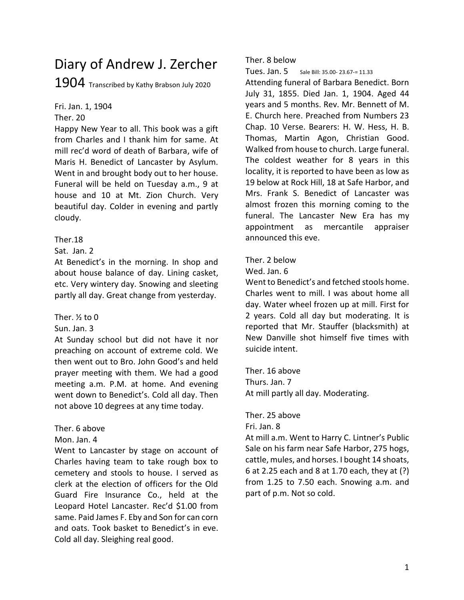# Diary of Andrew J. Zercher 1904 Transcribed by Kathy Brabson July 2020

Fri. Jan. 1, 1904 Ther. 20

Happy New Year to all. This book was a gift from Charles and I thank him for same. At mill rec'd word of death of Barbara, wife of Maris H. Benedict of Lancaster by Asylum. Went in and brought body out to her house. Funeral will be held on Tuesday a.m., 9 at house and 10 at Mt. Zion Church. Very beautiful day. Colder in evening and partly cloudy.

# Ther.18

Sat. Jan. 2

At Benedict's in the morning. In shop and about house balance of day. Lining casket, etc. Very wintery day. Snowing and sleeting partly all day. Great change from yesterday.

# Ther. ½ to 0

Sun. Jan. 3

At Sunday school but did not have it nor preaching on account of extreme cold. We then went out to Bro. John Good's and held prayer meeting with them. We had a good meeting a.m. P.M. at home. And evening went down to Benedict's. Cold all day. Then not above 10 degrees at any time today.

# Ther. 6 above

Mon. Jan. 4

Went to Lancaster by stage on account of Charles having team to take rough box to cemetery and stools to house. I served as clerk at the election of officers for the Old Guard Fire Insurance Co., held at the Leopard Hotel Lancaster. Rec'd \$1.00 from same. Paid James F. Eby and Son for can corn and oats. Took basket to Benedict's in eve. Cold all day. Sleighing real good.

Ther. 8 below

Tues. Jan. 5 Sale Bill: 35.00- 23.67-= 11.33

Attending funeral of Barbara Benedict. Born July 31, 1855. Died Jan. 1, 1904. Aged 44 years and 5 months. Rev. Mr. Bennett of M. E. Church here. Preached from Numbers 23 Chap. 10 Verse. Bearers: H. W. Hess, H. B. Thomas, Martin Agon, Christian Good. Walked from house to church. Large funeral. The coldest weather for 8 years in this locality, it is reported to have been as low as 19 below at Rock Hill, 18 at Safe Harbor, and Mrs. Frank S. Benedict of Lancaster was almost frozen this morning coming to the funeral. The Lancaster New Era has my appointment as mercantile appraiser announced this eve.

Ther. 2 below

Wed. Jan. 6

Went to Benedict's and fetched stools home. Charles went to mill. I was about home all day. Water wheel frozen up at mill. First for 2 years. Cold all day but moderating. It is reported that Mr. Stauffer (blacksmith) at New Danville shot himself five times with suicide intent.

Ther. 16 above Thurs. Jan. 7 At mill partly all day. Moderating.

Ther. 25 above

Fri. Jan. 8

At mill a.m. Went to Harry C. Lintner's Public Sale on his farm near Safe Harbor, 275 hogs, cattle, mules, and horses. I bought 14 shoats, 6 at 2.25 each and 8 at 1.70 each, they at (?) from 1.25 to 7.50 each. Snowing a.m. and part of p.m. Not so cold.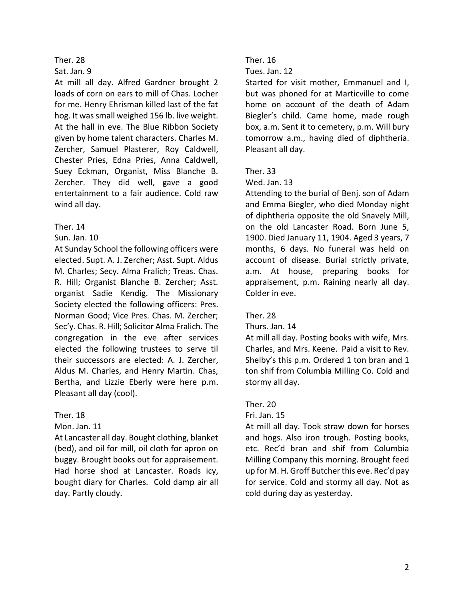### Sat. Jan. 9

At mill all day. Alfred Gardner brought 2 loads of corn on ears to mill of Chas. Locher for me. Henry Ehrisman killed last of the fat hog. It was small weighed 156 lb. live weight. At the hall in eve. The Blue Ribbon Society given by home talent characters. Charles M. Zercher, Samuel Plasterer, Roy Caldwell, Chester Pries, Edna Pries, Anna Caldwell, Suey Eckman, Organist, Miss Blanche B. Zercher. They did well, gave a good entertainment to a fair audience. Cold raw wind all day.

# Ther. 14

# Sun. Jan. 10

At Sunday School the following officers were elected. Supt. A. J. Zercher; Asst. Supt. Aldus M. Charles; Secy. Alma Fralich; Treas. Chas. R. Hill; Organist Blanche B. Zercher; Asst. organist Sadie Kendig. The Missionary Society elected the following officers: Pres. Norman Good; Vice Pres. Chas. M. Zercher; Sec'y. Chas. R. Hill; Solicitor Alma Fralich. The congregation in the eve after services elected the following trustees to serve til their successors are elected: A. J. Zercher, Aldus M. Charles, and Henry Martin. Chas, Bertha, and Lizzie Eberly were here p.m. Pleasant all day (cool).

# Ther. 18

# Mon. Jan. 11

At Lancaster all day. Bought clothing, blanket (bed), and oil for mill, oil cloth for apron on buggy. Brought books out for appraisement. Had horse shod at Lancaster. Roads icy, bought diary for Charles. Cold damp air all day. Partly cloudy.

# Ther. 16

### Tues. Jan. 12

Started for visit mother, Emmanuel and I, but was phoned for at Marticville to come home on account of the death of Adam Biegler's child. Came home, made rough box, a.m. Sent it to cemetery, p.m. Will bury tomorrow a.m., having died of diphtheria. Pleasant all day.

# Ther. 33

### Wed. Jan. 13

Attending to the burial of Benj. son of Adam and Emma Biegler, who died Monday night of diphtheria opposite the old Snavely Mill, on the old Lancaster Road. Born June 5, 1900. Died January 11, 1904. Aged 3 years, 7 months, 6 days. No funeral was held on account of disease. Burial strictly private, a.m. At house, preparing books for appraisement, p.m. Raining nearly all day. Colder in eve.

# Ther. 28

#### Thurs. Jan. 14

At mill all day. Posting books with wife, Mrs. Charles, and Mrs. Keene. Paid a visit to Rev. Shelby's this p.m. Ordered 1 ton bran and 1 ton shif from Columbia Milling Co. Cold and stormy all day.

# Ther. 20

#### Fri. Jan. 15

At mill all day. Took straw down for horses and hogs. Also iron trough. Posting books, etc. Rec'd bran and shif from Columbia Milling Company this morning. Brought feed up for M. H. Groff Butcher this eve. Rec'd pay for service. Cold and stormy all day. Not as cold during day as yesterday.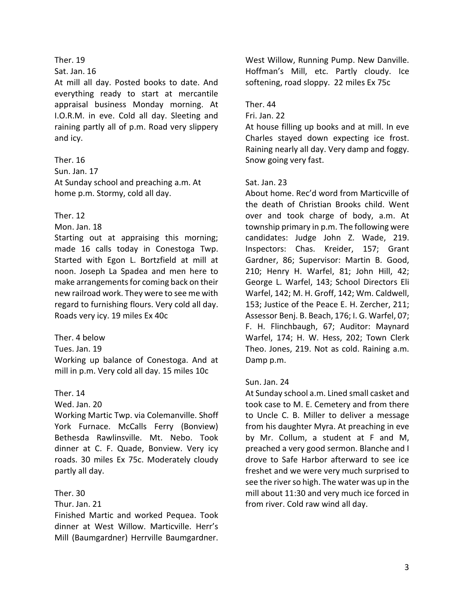#### Sat. Jan. 16

At mill all day. Posted books to date. And everything ready to start at mercantile appraisal business Monday morning. At I.O.R.M. in eve. Cold all day. Sleeting and raining partly all of p.m. Road very slippery and icy.

### Ther. 16

Sun. Jan. 17 At Sunday school and preaching a.m. At home p.m. Stormy, cold all day.

### Ther. 12

Mon. Jan. 18

Starting out at appraising this morning; made 16 calls today in Conestoga Twp. Started with Egon L. Bortzfield at mill at noon. Joseph La Spadea and men here to make arrangements for coming back on their new railroad work. They were to see me with regard to furnishing flours. Very cold all day. Roads very icy. 19 miles Ex 40c

Ther. 4 below

Tues. Jan. 19

Working up balance of Conestoga. And at mill in p.m. Very cold all day. 15 miles 10c

# Ther. 14

Wed. Jan. 20

Working Martic Twp. via Colemanville. Shoff York Furnace. McCalls Ferry (Bonview) Bethesda Rawlinsville. Mt. Nebo. Took dinner at C. F. Quade, Bonview. Very icy roads. 30 miles Ex 75c. Moderately cloudy partly all day.

### Ther. 30

Thur. Jan. 21

Finished Martic and worked Pequea. Took dinner at West Willow. Marticville. Herr's Mill (Baumgardner) Herrville Baumgardner.

West Willow, Running Pump. New Danville. Hoffman's Mill, etc. Partly cloudy. Ice softening, road sloppy. 22 miles Ex 75c

# Ther. 44

Fri. Jan. 22

At house filling up books and at mill. In eve Charles stayed down expecting ice frost. Raining nearly all day. Very damp and foggy. Snow going very fast.

# Sat. Jan. 23

About home. Rec'd word from Marticville of the death of Christian Brooks child. Went over and took charge of body, a.m. At township primary in p.m. The following were candidates: Judge John Z. Wade, 219. Inspectors: Chas. Kreider, 157; Grant Gardner, 86; Supervisor: Martin B. Good, 210; Henry H. Warfel, 81; John Hill, 42; George L. Warfel, 143; School Directors Eli Warfel, 142; M. H. Groff, 142; Wm. Caldwell, 153; Justice of the Peace E. H. Zercher, 211; Assessor Benj. B. Beach, 176; I. G. Warfel, 07; F. H. Flinchbaugh, 67; Auditor: Maynard Warfel, 174; H. W. Hess, 202; Town Clerk Theo. Jones, 219. Not as cold. Raining a.m. Damp p.m.

#### Sun. Jan. 24

At Sunday school a.m. Lined small casket and took case to M. E. Cemetery and from there to Uncle C. B. Miller to deliver a message from his daughter Myra. At preaching in eve by Mr. Collum, a student at F and M, preached a very good sermon. Blanche and I drove to Safe Harbor afterward to see ice freshet and we were very much surprised to see the river so high. The water was up in the mill about 11:30 and very much ice forced in from river. Cold raw wind all day.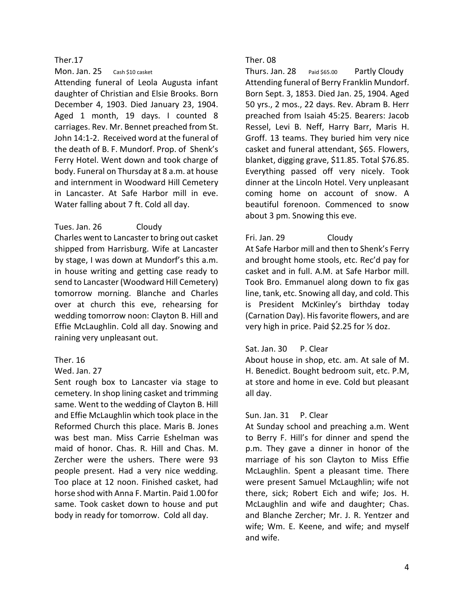Mon. Jan. 25 Cash \$10 casket

Attending funeral of Leola Augusta infant daughter of Christian and Elsie Brooks. Born December 4, 1903. Died January 23, 1904. Aged 1 month, 19 days. I counted 8 carriages. Rev. Mr. Bennet preached from St. John 14:1-2. Received word at the funeral of the death of B. F. Mundorf. Prop. of Shenk's Ferry Hotel. Went down and took charge of body. Funeral on Thursday at 8 a.m. at house and internment in Woodward Hill Cemetery in Lancaster. At Safe Harbor mill in eve. Water falling about 7 ft. Cold all day.

# Tues. Jan. 26 Cloudy

Charles went to Lancaster to bring out casket shipped from Harrisburg. Wife at Lancaster by stage, I was down at Mundorf's this a.m. in house writing and getting case ready to send to Lancaster (Woodward Hill Cemetery) tomorrow morning. Blanche and Charles over at church this eve, rehearsing for wedding tomorrow noon: Clayton B. Hill and Effie McLaughlin. Cold all day. Snowing and raining very unpleasant out.

# Ther. 16

# Wed. Jan. 27

Sent rough box to Lancaster via stage to cemetery. In shop lining casket and trimming same. Went to the wedding of Clayton B. Hill and Effie McLaughlin which took place in the Reformed Church this place. Maris B. Jones was best man. Miss Carrie Eshelman was maid of honor. Chas. R. Hill and Chas. M. Zercher were the ushers. There were 93 people present. Had a very nice wedding. Too place at 12 noon. Finished casket, had horse shod with Anna F. Martin. Paid 1.00 for same. Took casket down to house and put body in ready for tomorrow. Cold all day.

# Ther. 08

Thurs. Jan. 28 Paid \$65.00 Partly Cloudy Attending funeral of Berry Franklin Mundorf. Born Sept. 3, 1853. Died Jan. 25, 1904. Aged 50 yrs., 2 mos., 22 days. Rev. Abram B. Herr preached from Isaiah 45:25. Bearers: Jacob Ressel, Levi B. Neff, Harry Barr, Maris H. Groff. 13 teams. They buried him very nice casket and funeral attendant, \$65. Flowers, blanket, digging grave, \$11.85. Total \$76.85. Everything passed off very nicely. Took dinner at the Lincoln Hotel. Very unpleasant coming home on account of snow. A beautiful forenoon. Commenced to snow about 3 pm. Snowing this eve.

# Fri. Jan. 29 Cloudy

At Safe Harbor mill and then to Shenk's Ferry and brought home stools, etc. Rec'd pay for casket and in full. A.M. at Safe Harbor mill. Took Bro. Emmanuel along down to fix gas line, tank, etc. Snowing all day, and cold. This is President McKinley's birthday today (Carnation Day). His favorite flowers, and are very high in price. Paid \$2.25 for ½ doz.

# Sat. Jan. 30 P. Clear

About house in shop, etc. am. At sale of M. H. Benedict. Bought bedroom suit, etc. P.M, at store and home in eve. Cold but pleasant all day.

# Sun. Jan. 31 P. Clear

At Sunday school and preaching a.m. Went to Berry F. Hill's for dinner and spend the p.m. They gave a dinner in honor of the marriage of his son Clayton to Miss Effie McLaughlin. Spent a pleasant time. There were present Samuel McLaughlin; wife not there, sick; Robert Eich and wife; Jos. H. McLaughlin and wife and daughter; Chas. and Blanche Zercher; Mr. J. R. Yentzer and wife; Wm. E. Keene, and wife; and myself and wife.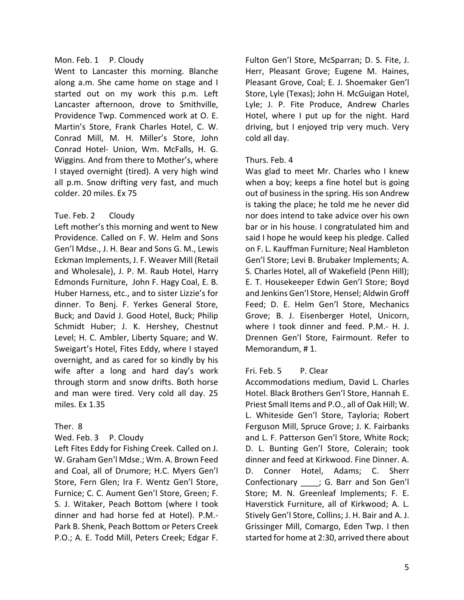# Mon. Feb. 1 P. Cloudy

Went to Lancaster this morning. Blanche along a.m. She came home on stage and I started out on my work this p.m. Left Lancaster afternoon, drove to Smithville, Providence Twp. Commenced work at O. E. Martin's Store, Frank Charles Hotel, C. W. Conrad Mill, M. H. Miller's Store, John Conrad Hotel- Union, Wm. McFalls, H. G. Wiggins. And from there to Mother's, where I stayed overnight (tired). A very high wind all p.m. Snow drifting very fast, and much colder. 20 miles. Ex 75

# Tue. Feb. 2 Cloudy

Left mother's this morning and went to New Providence. Called on F. W. Helm and Sons Gen'l Mdse., J. H. Bear and Sons G. M., Lewis Eckman Implements, J. F. Weaver Mill (Retail and Wholesale), J. P. M. Raub Hotel, Harry Edmonds Furniture, John F. Hagy Coal, E. B. Huber Harness, etc., and to sister Lizzie's for dinner. To Benj. F. Yerkes General Store, Buck; and David J. Good Hotel, Buck; Philip Schmidt Huber; J. K. Hershey, Chestnut Level; H. C. Ambler, Liberty Square; and W. Sweigart's Hotel, Fites Eddy, where I stayed overnight, and as cared for so kindly by his wife after a long and hard day's work through storm and snow drifts. Both horse and man were tired. Very cold all day. 25 miles. Ex 1.35

# Ther. 8

# Wed. Feb. 3 P. Cloudy

Left Fites Eddy for Fishing Creek. Called on J. W. Graham Gen'l Mdse.; Wm. A. Brown Feed and Coal, all of Drumore; H.C. Myers Gen'l Store, Fern Glen; Ira F. Wentz Gen'l Store, Furnice; C. C. Aument Gen'l Store, Green; F. S. J. Witaker, Peach Bottom (where I took dinner and had horse fed at Hotel). P.M.- Park B. Shenk, Peach Bottom or Peters Creek P.O.; A. E. Todd Mill, Peters Creek; Edgar F.

Fulton Gen'l Store, McSparran; D. S. Fite, J. Herr, Pleasant Grove; Eugene M. Haines, Pleasant Grove, Coal; E. J. Shoemaker Gen'l Store, Lyle (Texas); John H. McGuigan Hotel, Lyle; J. P. Fite Produce, Andrew Charles Hotel, where I put up for the night. Hard driving, but I enjoyed trip very much. Very cold all day.

# Thurs. Feb. 4

Was glad to meet Mr. Charles who I knew when a boy; keeps a fine hotel but is going out of business in the spring. His son Andrew is taking the place; he told me he never did nor does intend to take advice over his own bar or in his house. I congratulated him and said I hope he would keep his pledge. Called on F. L. Kauffman Furniture; Neal Hambleton Gen'l Store; Levi B. Brubaker Implements; A. S. Charles Hotel, all of Wakefield (Penn Hill); E. T. Housekeeper Edwin Gen'l Store; Boyd and Jenkins Gen'l Store, Hensel; Aldwin Groff Feed; D. E. Helm Gen'l Store, Mechanics Grove; B. J. Eisenberger Hotel, Unicorn, where I took dinner and feed. P.M.- H. J. Drennen Gen'l Store, Fairmount. Refer to Memorandum, # 1.

# Fri. Feb. 5 P. Clear

Accommodations medium, David L. Charles Hotel. Black Brothers Gen'l Store, Hannah E. Priest Small Items and P.O., all of Oak Hill; W. L. Whiteside Gen'l Store, Tayloria; Robert Ferguson Mill, Spruce Grove; J. K. Fairbanks and L. F. Patterson Gen'l Store, White Rock; D. L. Bunting Gen'l Store, Colerain; took dinner and feed at Kirkwood. Fine Dinner. A. D. Conner Hotel, Adams; C. Sherr Confectionary \_\_\_\_; G. Barr and Son Gen'l Store; M. N. Greenleaf Implements; F. E. Haverstick Furniture, all of Kirkwood; A. L. Stively Gen'l Store, Collins; J. H. Bair and A. J. Grissinger Mill, Comargo, Eden Twp. I then started for home at 2:30, arrived there about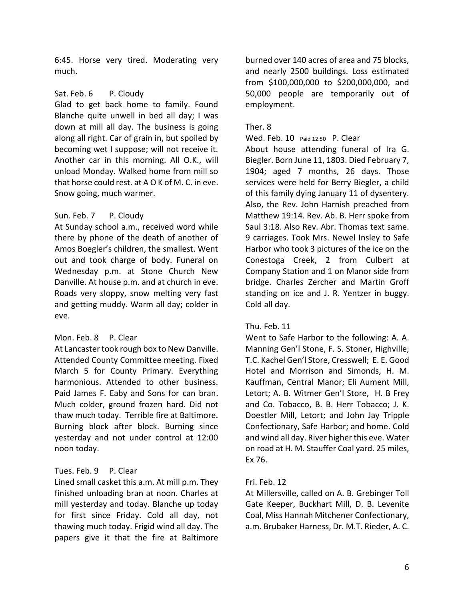6:45. Horse very tired. Moderating very much.

# Sat. Feb. 6 P. Cloudy

Glad to get back home to family. Found Blanche quite unwell in bed all day; I was down at mill all day. The business is going along all right. Car of grain in, but spoiled by becoming wet I suppose; will not receive it. Another car in this morning. All O.K., will unload Monday. Walked home from mill so that horse could rest. at A O K of M. C. in eve. Snow going, much warmer.

# Sun. Feb. 7 P. Cloudy

At Sunday school a.m., received word while there by phone of the death of another of Amos Boegler's children, the smallest. Went out and took charge of body. Funeral on Wednesday p.m. at Stone Church New Danville. At house p.m. and at church in eve. Roads very sloppy, snow melting very fast and getting muddy. Warm all day; colder in eve.

# Mon. Feb. 8 P. Clear

At Lancaster took rough box to New Danville. Attended County Committee meeting. Fixed March 5 for County Primary. Everything harmonious. Attended to other business. Paid James F. Eaby and Sons for can bran. Much colder, ground frozen hard. Did not thaw much today. Terrible fire at Baltimore. Burning block after block. Burning since yesterday and not under control at 12:00 noon today.

# Tues. Feb. 9 P. Clear

Lined small casket this a.m. At mill p.m. They finished unloading bran at noon. Charles at mill yesterday and today. Blanche up today for first since Friday. Cold all day, not thawing much today. Frigid wind all day. The papers give it that the fire at Baltimore

burned over 140 acres of area and 75 blocks, and nearly 2500 buildings. Loss estimated from \$100,000,000 to \$200,000,000, and 50,000 people are temporarily out of employment.

# Ther. 8

### Wed. Feb. 10 Paid 12.50 P. Clear

About house attending funeral of Ira G. Biegler. Born June 11, 1803. Died February 7, 1904; aged 7 months, 26 days. Those services were held for Berry Biegler, a child of this family dying January 11 of dysentery. Also, the Rev. John Harnish preached from Matthew 19:14. Rev. Ab. B. Herr spoke from Saul 3:18. Also Rev. Abr. Thomas text same. 9 carriages. Took Mrs. Newel Insley to Safe Harbor who took 3 pictures of the ice on the Conestoga Creek, 2 from Culbert at Company Station and 1 on Manor side from bridge. Charles Zercher and Martin Groff standing on ice and J. R. Yentzer in buggy. Cold all day.

# Thu. Feb. 11

Went to Safe Harbor to the following: A. A. Manning Gen'l Stone, F. S. Stoner, Highville; T.C. Kachel Gen'l Store, Cresswell; E. E. Good Hotel and Morrison and Simonds, H. M. Kauffman, Central Manor; Eli Aument Mill, Letort; A. B. Witmer Gen'l Store, H. B Frey and Co. Tobacco, B. B. Herr Tobacco; J. K. Doestler Mill, Letort; and John Jay Tripple Confectionary, Safe Harbor; and home. Cold and wind all day. River higher this eve. Water on road at H. M. Stauffer Coal yard. 25 miles, Ex 76.

# Fri. Feb. 12

At Millersville, called on A. B. Grebinger Toll Gate Keeper, Buckhart Mill, D. B. Levenite Coal, Miss Hannah Mitchener Confectionary, a.m. Brubaker Harness, Dr. M.T. Rieder, A. C.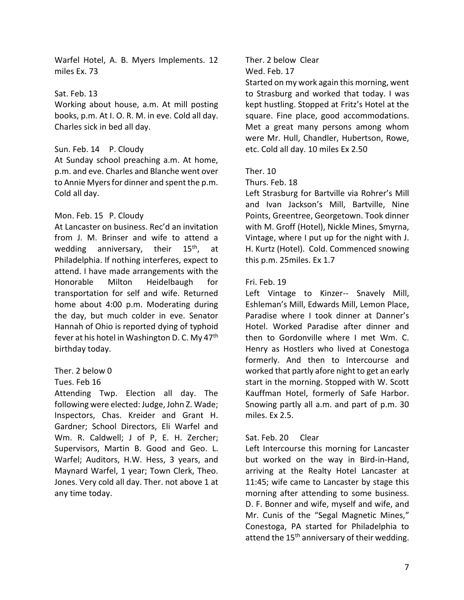Warfel Hotel, A. B. Myers Implements. 12 miles Ex. 73

### Sat. Feb. 13

Working about house, a.m. At mill posting books, p.m. At I. O. R. M. in eve. Cold all day. Charles sick in bed all day.

# Sun. Feb. 14 P. Cloudy

At Sunday school preaching a.m. At home, p.m. and eve. Charles and Blanche went over to Annie Myers for dinner and spent the p.m. Cold all day.

# Mon. Feb. 15 P. Cloudy

At Lancaster on business. Rec'd an invitation from J. M. Brinser and wife to attend a wedding anniversary, their  $15<sup>th</sup>$ , at Philadelphia. If nothing interferes, expect to attend. I have made arrangements with the Honorable Milton Heidelbaugh for transportation for self and wife. Returned home about 4:00 p.m. Moderating during the day, but much colder in eve. Senator Hannah of Ohio is reported dying of typhoid fever at his hotel in Washington D. C. My 47<sup>th</sup> birthday today.

# Ther. 2 below 0

#### Tues. Feb 16

Attending Twp. Election all day. The following were elected: Judge, John Z. Wade; Inspectors, Chas. Kreider and Grant H. Gardner; School Directors, Eli Warfel and Wm. R. Caldwell; J of P, E. H. Zercher; Supervisors, Martin B. Good and Geo. L. Warfel; Auditors, H.W. Hess, 3 years, and Maynard Warfel, 1 year; Town Clerk, Theo. Jones. Very cold all day. Ther. not above 1 at any time today.

Ther. 2 below Clear

Wed. Feb. 17

Started on my work again this morning, went to Strasburg and worked that today. I was kept hustling. Stopped at Fritz's Hotel at the square. Fine place, good accommodations. Met a great many persons among whom were Mr. Hull, Chandler, Hubertson, Rowe, etc. Cold all day. 10 miles Ex 2.50

# Ther. 10

#### Thurs. Feb. 18

Left Strasburg for Bartville via Rohrer's Mill and Ivan Jackson's Mill, Bartville, Nine Points, Greentree, Georgetown. Took dinner with M. Groff (Hotel), Nickle Mines, Smyrna, Vintage, where I put up for the night with J. H. Kurtz (Hotel). Cold. Commenced snowing this p.m. 25miles. Ex 1.7

### Fri. Feb. 19

Left Vintage to Kinzer-- Snavely Mill, Eshleman's Mill, Edwards Mill, Lemon Place, Paradise where I took dinner at Danner's Hotel. Worked Paradise after dinner and then to Gordonville where I met Wm. C. Henry as Hostlers who lived at Conestoga formerly. And then to Intercourse and worked that partly afore night to get an early start in the morning. Stopped with W. Scott Kauffman Hotel, formerly of Safe Harbor. Snowing partly all a.m. and part of p.m. 30 miles. Ex 2.5.

# Sat. Feb. 20 Clear

Left Intercourse this morning for Lancaster but worked on the way in Bird-in-Hand, arriving at the Realty Hotel Lancaster at 11:45; wife came to Lancaster by stage this morning after attending to some business. D. F. Bonner and wife, myself and wife, and Mr. Cunis of the "Segal Magnetic Mines," Conestoga, PA started for Philadelphia to attend the 15<sup>th</sup> anniversary of their wedding.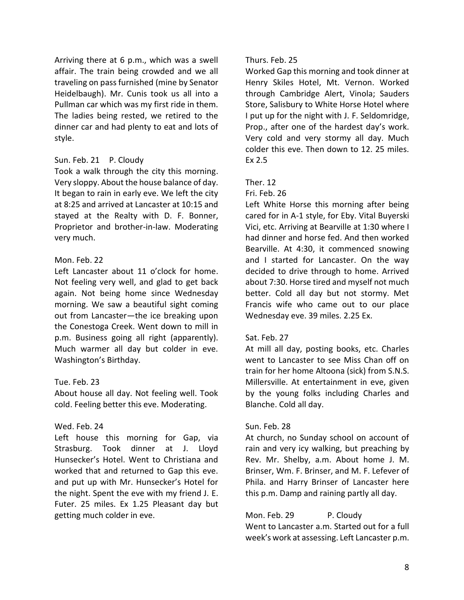Arriving there at 6 p.m., which was a swell affair. The train being crowded and we all traveling on pass furnished (mine by Senator Heidelbaugh). Mr. Cunis took us all into a Pullman car which was my first ride in them. The ladies being rested, we retired to the dinner car and had plenty to eat and lots of style.

### Sun. Feb. 21 P. Cloudy

Took a walk through the city this morning. Very sloppy. About the house balance of day. It began to rain in early eve. We left the city at 8:25 and arrived at Lancaster at 10:15 and stayed at the Realty with D. F. Bonner, Proprietor and brother-in-law. Moderating very much.

#### Mon. Feb. 22

Left Lancaster about 11 o'clock for home. Not feeling very well, and glad to get back again. Not being home since Wednesday morning. We saw a beautiful sight coming out from Lancaster—the ice breaking upon the Conestoga Creek. Went down to mill in p.m. Business going all right (apparently). Much warmer all day but colder in eve. Washington's Birthday.

#### Tue. Feb. 23

About house all day. Not feeling well. Took cold. Feeling better this eve. Moderating.

# Wed. Feb. 24

Left house this morning for Gap, via Strasburg. Took dinner at J. Lloyd Hunsecker's Hotel. Went to Christiana and worked that and returned to Gap this eve. and put up with Mr. Hunsecker's Hotel for the night. Spent the eve with my friend J. E. Futer. 25 miles. Ex 1.25 Pleasant day but getting much colder in eve.

### Thurs. Feb. 25

Worked Gap this morning and took dinner at Henry Skiles Hotel, Mt. Vernon. Worked through Cambridge Alert, Vinola; Sauders Store, Salisbury to White Horse Hotel where I put up for the night with J. F. Seldomridge, Prop., after one of the hardest day's work. Very cold and very stormy all day. Much colder this eve. Then down to 12. 25 miles. Ex 2.5

# Ther. 12

### Fri. Feb. 26

Left White Horse this morning after being cared for in A-1 style, for Eby. Vital Buyerski Vici, etc. Arriving at Bearville at 1:30 where I had dinner and horse fed. And then worked Bearville. At 4:30, it commenced snowing and I started for Lancaster. On the way decided to drive through to home. Arrived about 7:30. Horse tired and myself not much better. Cold all day but not stormy. Met Francis wife who came out to our place Wednesday eve. 39 miles. 2.25 Ex.

# Sat. Feb. 27

At mill all day, posting books, etc. Charles went to Lancaster to see Miss Chan off on train for her home Altoona (sick) from S.N.S. Millersville. At entertainment in eve, given by the young folks including Charles and Blanche. Cold all day.

# Sun. Feb. 28

At church, no Sunday school on account of rain and very icy walking, but preaching by Rev. Mr. Shelby, a.m. About home J. M. Brinser, Wm. F. Brinser, and M. F. Lefever of Phila. and Harry Brinser of Lancaster here this p.m. Damp and raining partly all day.

Mon. Feb. 29 P. Cloudy Went to Lancaster a.m. Started out for a full week's work at assessing. Left Lancaster p.m.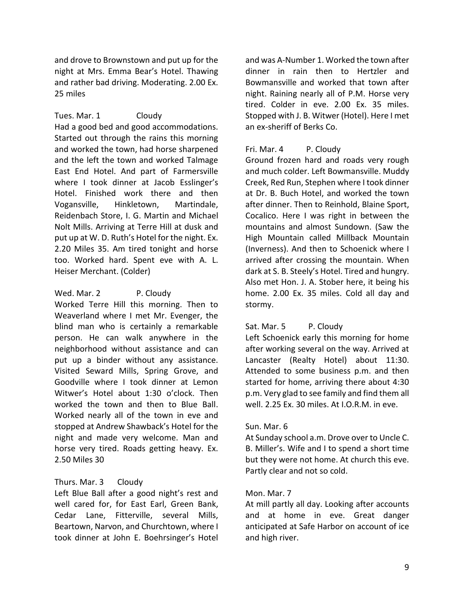and drove to Brownstown and put up for the night at Mrs. Emma Bear's Hotel. Thawing and rather bad driving. Moderating. 2.00 Ex. 25 miles

Tues. Mar. 1 Cloudy

Had a good bed and good accommodations. Started out through the rains this morning and worked the town, had horse sharpened and the left the town and worked Talmage East End Hotel. And part of Farmersville where I took dinner at Jacob Esslinger's Hotel. Finished work there and then Vogansville, Hinkletown, Martindale, Reidenbach Store, I. G. Martin and Michael Nolt Mills. Arriving at Terre Hill at dusk and put up at W. D. Ruth's Hotel for the night. Ex. 2.20 Miles 35. Am tired tonight and horse too. Worked hard. Spent eve with A. L. Heiser Merchant. (Colder)

Wed. Mar. 2 P. Cloudy

Worked Terre Hill this morning. Then to Weaverland where I met Mr. Evenger, the blind man who is certainly a remarkable person. He can walk anywhere in the neighborhood without assistance and can put up a binder without any assistance. Visited Seward Mills, Spring Grove, and Goodville where I took dinner at Lemon Witwer's Hotel about 1:30 o'clock. Then worked the town and then to Blue Ball. Worked nearly all of the town in eve and stopped at Andrew Shawback's Hotel for the night and made very welcome. Man and horse very tired. Roads getting heavy. Ex. 2.50 Miles 30

# Thurs. Mar. 3 Cloudy

Left Blue Ball after a good night's rest and well cared for, for East Earl, Green Bank, Cedar Lane, Fitterville, several Mills, Beartown, Narvon, and Churchtown, where I took dinner at John E. Boehrsinger's Hotel and was A-Number 1. Worked the town after dinner in rain then to Hertzler and Bowmansville and worked that town after night. Raining nearly all of P.M. Horse very tired. Colder in eve. 2.00 Ex. 35 miles. Stopped with J. B. Witwer (Hotel). Here I met an ex-sheriff of Berks Co.

# Fri. Mar. 4 P. Cloudy

Ground frozen hard and roads very rough and much colder. Left Bowmansville. Muddy Creek, Red Run, Stephen where I took dinner at Dr. B. Buch Hotel, and worked the town after dinner. Then to Reinhold, Blaine Sport, Cocalico. Here I was right in between the mountains and almost Sundown. (Saw the High Mountain called Millback Mountain (Inverness). And then to Schoenick where I arrived after crossing the mountain. When dark at S. B. Steely's Hotel. Tired and hungry. Also met Hon. J. A. Stober here, it being his home. 2.00 Ex. 35 miles. Cold all day and stormy.

# Sat. Mar. 5 P. Cloudy

Left Schoenick early this morning for home after working several on the way. Arrived at Lancaster (Realty Hotel) about 11:30. Attended to some business p.m. and then started for home, arriving there about 4:30 p.m. Very glad to see family and find them all well. 2.25 Ex. 30 miles. At I.O.R.M. in eve.

# Sun. Mar. 6

At Sunday school a.m. Drove over to Uncle C. B. Miller's. Wife and I to spend a short time but they were not home. At church this eve. Partly clear and not so cold.

# Mon. Mar. 7

At mill partly all day. Looking after accounts and at home in eve. Great danger anticipated at Safe Harbor on account of ice and high river.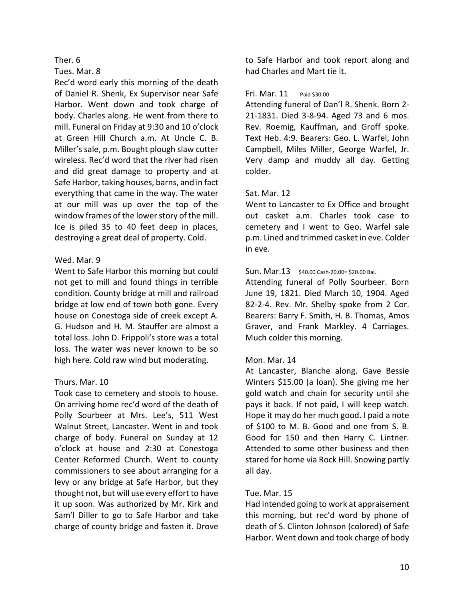# Tues. Mar. 8

Rec'd word early this morning of the death of Daniel R. Shenk, Ex Supervisor near Safe Harbor. Went down and took charge of body. Charles along. He went from there to mill. Funeral on Friday at 9:30 and 10 o'clock at Green Hill Church a.m. At Uncle C. B. Miller's sale, p.m. Bought plough slaw cutter wireless. Rec'd word that the river had risen and did great damage to property and at Safe Harbor, taking houses, barns, and in fact everything that came in the way. The water at our mill was up over the top of the window frames of the lower story of the mill. Ice is piled 35 to 40 feet deep in places, destroying a great deal of property. Cold.

# Wed. Mar. 9

Went to Safe Harbor this morning but could not get to mill and found things in terrible condition. County bridge at mill and railroad bridge at low end of town both gone. Every house on Conestoga side of creek except A. G. Hudson and H. M. Stauffer are almost a total loss. John D. Frippoli's store was a total loss. The water was never known to be so high here. Cold raw wind but moderating.

# Thurs. Mar. 10

Took case to cemetery and stools to house. On arriving home rec'd word of the death of Polly Sourbeer at Mrs. Lee's, 511 West Walnut Street, Lancaster. Went in and took charge of body. Funeral on Sunday at 12 o'clock at house and 2:30 at Conestoga Center Reformed Church. Went to county commissioners to see about arranging for a levy or any bridge at Safe Harbor, but they thought not, but will use every effort to have it up soon. Was authorized by Mr. Kirk and Sam'l Diller to go to Safe Harbor and take charge of county bridge and fasten it. Drove

to Safe Harbor and took report along and had Charles and Mart tie it.

### Fri. Mar. 11 Paid \$30.00

Attending funeral of Dan'l R. Shenk. Born 2- 21-1831. Died 3-8-94. Aged 73 and 6 mos. Rev. Roemig, Kauffman, and Groff spoke. Text Heb. 4:9. Bearers: Geo. L. Warfel, John Campbell, Miles Miller, George Warfel, Jr. Very damp and muddy all day. Getting colder.

# Sat. Mar. 12

Went to Lancaster to Ex Office and brought out casket a.m. Charles took case to cemetery and I went to Geo. Warfel sale p.m. Lined and trimmed casket in eve. Colder in eve.

# Sun. Mar.13 \$40.00 Cash-20.00= \$20.00 Bal.

Attending funeral of Polly Sourbeer. Born June 19, 1821. Died March 10, 1904. Aged 82-2-4. Rev. Mr. Shelby spoke from 2 Cor. Bearers: Barry F. Smith, H. B. Thomas, Amos Graver, and Frank Markley. 4 Carriages. Much colder this morning.

# Mon. Mar. 14

At Lancaster, Blanche along. Gave Bessie Winters \$15.00 (a loan). She giving me her gold watch and chain for security until she pays it back. If not paid, I will keep watch. Hope it may do her much good. I paid a note of \$100 to M. B. Good and one from S. B. Good for 150 and then Harry C. Lintner. Attended to some other business and then stared for home via Rock Hill. Snowing partly all day.

# Tue. Mar. 15

Had intended going to work at appraisement this morning, but rec'd word by phone of death of S. Clinton Johnson (colored) of Safe Harbor. Went down and took charge of body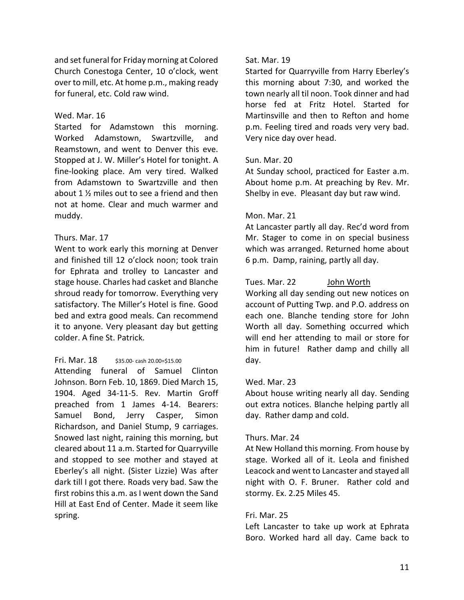and set funeral for Friday morning at Colored Church Conestoga Center, 10 o'clock, went over to mill, etc. At home p.m., making ready for funeral, etc. Cold raw wind.

### Wed. Mar. 16

Started for Adamstown this morning. Worked Adamstown, Swartzville, and Reamstown, and went to Denver this eve. Stopped at J. W. Miller's Hotel for tonight. A fine-looking place. Am very tired. Walked from Adamstown to Swartzville and then about 1 ½ miles out to see a friend and then not at home. Clear and much warmer and muddy.

# Thurs. Mar. 17

Went to work early this morning at Denver and finished till 12 o'clock noon; took train for Ephrata and trolley to Lancaster and stage house. Charles had casket and Blanche shroud ready for tomorrow. Everything very satisfactory. The Miller's Hotel is fine. Good bed and extra good meals. Can recommend it to anyone. Very pleasant day but getting colder. A fine St. Patrick.

# Fri. Mar.  $18$  \$35.00- cash 20.00=\$15.00

Attending funeral of Samuel Clinton Johnson. Born Feb. 10, 1869. Died March 15, 1904. Aged 34-11-5. Rev. Martin Groff preached from 1 James 4-14. Bearers: Samuel Bond, Jerry Casper, Simon Richardson, and Daniel Stump, 9 carriages. Snowed last night, raining this morning, but cleared about 11 a.m. Started for Quarryville and stopped to see mother and stayed at Eberley's all night. (Sister Lizzie) Was after dark till I got there. Roads very bad. Saw the first robins this a.m. as I went down the Sand Hill at East End of Center. Made it seem like spring.

# Sat. Mar. 19

Started for Quarryville from Harry Eberley's this morning about 7:30, and worked the town nearly all til noon. Took dinner and had horse fed at Fritz Hotel. Started for Martinsville and then to Refton and home p.m. Feeling tired and roads very very bad. Very nice day over head.

# Sun. Mar. 20

At Sunday school, practiced for Easter a.m. About home p.m. At preaching by Rev. Mr. Shelby in eve. Pleasant day but raw wind.

# Mon. Mar. 21

At Lancaster partly all day. Rec'd word from Mr. Stager to come in on special business which was arranged. Returned home about 6 p.m. Damp, raining, partly all day.

# Tues. Mar. 22 John Worth

Working all day sending out new notices on account of Putting Twp. and P.O. address on each one. Blanche tending store for John Worth all day. Something occurred which will end her attending to mail or store for him in future! Rather damp and chilly all day.

# Wed. Mar. 23

About house writing nearly all day. Sending out extra notices. Blanche helping partly all day. Rather damp and cold.

# Thurs. Mar. 24

At New Holland this morning. From house by stage. Worked all of it. Leola and finished Leacock and went to Lancaster and stayed all night with O. F. Bruner. Rather cold and stormy. Ex. 2.25 Miles 45.

# Fri. Mar. 25

Left Lancaster to take up work at Ephrata Boro. Worked hard all day. Came back to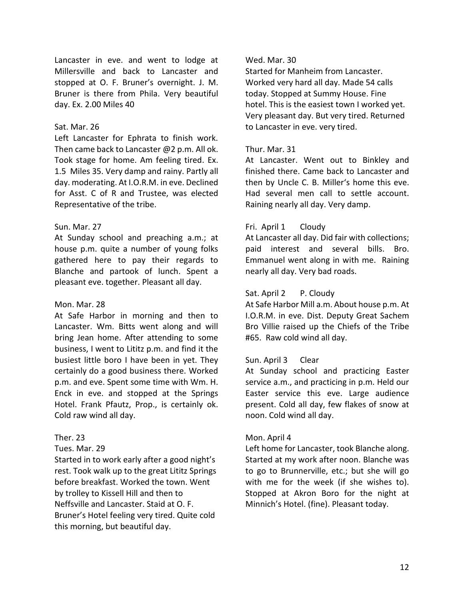Lancaster in eve. and went to lodge at Millersville and back to Lancaster and stopped at O. F. Bruner's overnight. J. M. Bruner is there from Phila. Very beautiful day. Ex. 2.00 Miles 40

# Sat. Mar. 26

Left Lancaster for Ephrata to finish work. Then came back to Lancaster @2 p.m. All ok. Took stage for home. Am feeling tired. Ex. 1.5 Miles 35. Very damp and rainy. Partly all day. moderating. At I.O.R.M. in eve. Declined for Asst. C of R and Trustee, was elected Representative of the tribe.

# Sun. Mar. 27

At Sunday school and preaching a.m.; at house p.m. quite a number of young folks gathered here to pay their regards to Blanche and partook of lunch. Spent a pleasant eve. together. Pleasant all day.

# Mon. Mar. 28

At Safe Harbor in morning and then to Lancaster. Wm. Bitts went along and will bring Jean home. After attending to some business, I went to Lititz p.m. and find it the busiest little boro I have been in yet. They certainly do a good business there. Worked p.m. and eve. Spent some time with Wm. H. Enck in eve. and stopped at the Springs Hotel. Frank Pfautz, Prop., is certainly ok. Cold raw wind all day.

# Ther. 23

# Tues. Mar. 29

Started in to work early after a good night's rest. Took walk up to the great Lititz Springs before breakfast. Worked the town. Went by trolley to Kissell Hill and then to Neffsville and Lancaster. Staid at O. F. Bruner's Hotel feeling very tired. Quite cold this morning, but beautiful day.

# Wed. Mar. 30

Started for Manheim from Lancaster. Worked very hard all day. Made 54 calls today. Stopped at Summy House. Fine hotel. This is the easiest town I worked yet. Very pleasant day. But very tired. Returned to Lancaster in eve. very tired.

# Thur. Mar. 31

At Lancaster. Went out to Binkley and finished there. Came back to Lancaster and then by Uncle C. B. Miller's home this eve. Had several men call to settle account. Raining nearly all day. Very damp.

# Fri. April 1 Cloudy

At Lancaster all day. Did fair with collections; paid interest and several bills. Bro. Emmanuel went along in with me. Raining nearly all day. Very bad roads.

# Sat. April 2 P. Cloudy

At Safe Harbor Mill a.m. About house p.m. At I.O.R.M. in eve. Dist. Deputy Great Sachem Bro Villie raised up the Chiefs of the Tribe #65. Raw cold wind all day.

# Sun. April 3 Clear

At Sunday school and practicing Easter service a.m., and practicing in p.m. Held our Easter service this eve. Large audience present. Cold all day, few flakes of snow at noon. Cold wind all day.

# Mon. April 4

Left home for Lancaster, took Blanche along. Started at my work after noon. Blanche was to go to Brunnerville, etc.; but she will go with me for the week (if she wishes to). Stopped at Akron Boro for the night at Minnich's Hotel. (fine). Pleasant today.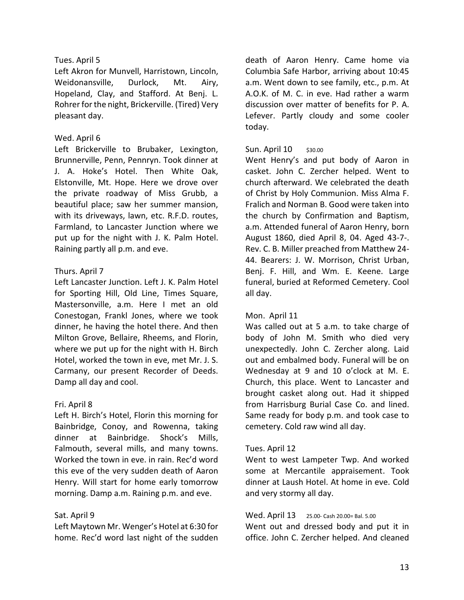# Tues. April 5

Left Akron for Munvell, Harristown, Lincoln, Weidonansville, Durlock, Mt. Airy, Hopeland, Clay, and Stafford. At Benj. L. Rohrer for the night, Brickerville. (Tired) Very pleasant day.

# Wed. April 6

Left Brickerville to Brubaker, Lexington, Brunnerville, Penn, Pennryn. Took dinner at J. A. Hoke's Hotel. Then White Oak, Elstonville, Mt. Hope. Here we drove over the private roadway of Miss Grubb, a beautiful place; saw her summer mansion, with its driveways, lawn, etc. R.F.D. routes, Farmland, to Lancaster Junction where we put up for the night with J. K. Palm Hotel. Raining partly all p.m. and eve.

# Thurs. April 7

Left Lancaster Junction. Left J. K. Palm Hotel for Sporting Hill, Old Line, Times Square, Mastersonville, a.m. Here I met an old Conestogan, Frankl Jones, where we took dinner, he having the hotel there. And then Milton Grove, Bellaire, Rheems, and Florin, where we put up for the night with H. Birch Hotel, worked the town in eve, met Mr. J. S. Carmany, our present Recorder of Deeds. Damp all day and cool.

# Fri. April 8

Left H. Birch's Hotel, Florin this morning for Bainbridge, Conoy, and Rowenna, taking dinner at Bainbridge. Shock's Mills, Falmouth, several mills, and many towns. Worked the town in eve. in rain. Rec'd word this eve of the very sudden death of Aaron Henry. Will start for home early tomorrow morning. Damp a.m. Raining p.m. and eve.

# Sat. April 9

Left Maytown Mr. Wenger's Hotel at 6:30 for home. Rec'd word last night of the sudden death of Aaron Henry. Came home via Columbia Safe Harbor, arriving about 10:45 a.m. Went down to see family, etc., p.m. At A.O.K. of M. C. in eve. Had rather a warm discussion over matter of benefits for P. A. Lefever. Partly cloudy and some cooler today.

# Sun. April 10 \$30.00

Went Henry's and put body of Aaron in casket. John C. Zercher helped. Went to church afterward. We celebrated the death of Christ by Holy Communion. Miss Alma F. Fralich and Norman B. Good were taken into the church by Confirmation and Baptism, a.m. Attended funeral of Aaron Henry, born August 1860, died April 8, 04. Aged 43-7-. Rev. C. B. Miller preached from Matthew 24- 44. Bearers: J. W. Morrison, Christ Urban, Benj. F. Hill, and Wm. E. Keene. Large funeral, buried at Reformed Cemetery. Cool all day.

# Mon. April 11

Was called out at 5 a.m. to take charge of body of John M. Smith who died very unexpectedly. John C. Zercher along. Laid out and embalmed body. Funeral will be on Wednesday at 9 and 10 o'clock at M. E. Church, this place. Went to Lancaster and brought casket along out. Had it shipped from Harrisburg Burial Case Co. and lined. Same ready for body p.m. and took case to cemetery. Cold raw wind all day.

# Tues. April 12

Went to west Lampeter Twp. And worked some at Mercantile appraisement. Took dinner at Laush Hotel. At home in eve. Cold and very stormy all day.

#### Wed. April 13 25.00- Cash 20.00= Bal. 5.00

Went out and dressed body and put it in office. John C. Zercher helped. And cleaned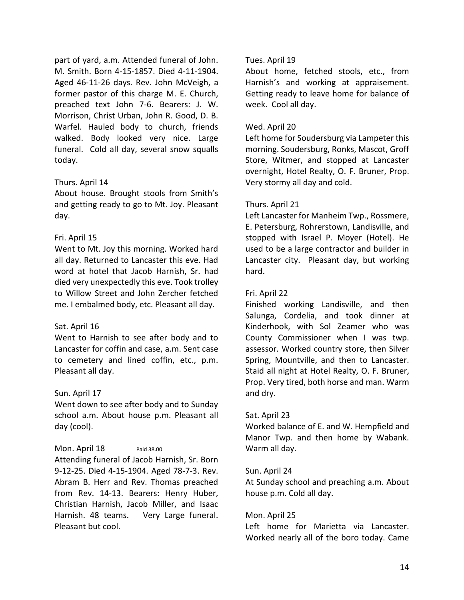part of yard, a.m. Attended funeral of John. M. Smith. Born 4-15-1857. Died 4-11-1904. Aged 46-11-26 days. Rev. John McVeigh, a former pastor of this charge M. E. Church, preached text John 7-6. Bearers: J. W. Morrison, Christ Urban, John R. Good, D. B. Warfel. Hauled body to church, friends walked. Body looked very nice. Large funeral. Cold all day, several snow squalls today.

# Thurs. April 14

About house. Brought stools from Smith's and getting ready to go to Mt. Joy. Pleasant day.

# Fri. April 15

Went to Mt. Joy this morning. Worked hard all day. Returned to Lancaster this eve. Had word at hotel that Jacob Harnish, Sr. had died very unexpectedly this eve. Took trolley to Willow Street and John Zercher fetched me. I embalmed body, etc. Pleasant all day.

# Sat. April 16

Went to Harnish to see after body and to Lancaster for coffin and case, a.m. Sent case to cemetery and lined coffin, etc., p.m. Pleasant all day.

# Sun. April 17

Went down to see after body and to Sunday school a.m. About house p.m. Pleasant all day (cool).

# Mon. April 18 Paid 38.00

Attending funeral of Jacob Harnish, Sr. Born 9-12-25. Died 4-15-1904. Aged 78-7-3. Rev. Abram B. Herr and Rev. Thomas preached from Rev. 14-13. Bearers: Henry Huber, Christian Harnish, Jacob Miller, and Isaac Harnish. 48 teams. Very Large funeral. Pleasant but cool.

# Tues. April 19

About home, fetched stools, etc., from Harnish's and working at appraisement. Getting ready to leave home for balance of week. Cool all day.

# Wed. April 20

Left home for Soudersburg via Lampeter this morning. Soudersburg, Ronks, Mascot, Groff Store, Witmer, and stopped at Lancaster overnight, Hotel Realty, O. F. Bruner, Prop. Very stormy all day and cold.

# Thurs. April 21

Left Lancaster for Manheim Twp., Rossmere, E. Petersburg, Rohrerstown, Landisville, and stopped with Israel P. Moyer (Hotel). He used to be a large contractor and builder in Lancaster city. Pleasant day, but working hard.

# Fri. April 22

Finished working Landisville, and then Salunga, Cordelia, and took dinner at Kinderhook, with Sol Zeamer who was County Commissioner when I was twp. assessor. Worked country store, then Silver Spring, Mountville, and then to Lancaster. Staid all night at Hotel Realty, O. F. Bruner, Prop. Very tired, both horse and man. Warm and dry.

# Sat. April 23

Worked balance of E. and W. Hempfield and Manor Twp. and then home by Wabank. Warm all day.

# Sun. April 24

At Sunday school and preaching a.m. About house p.m. Cold all day.

# Mon. April 25

Left home for Marietta via Lancaster. Worked nearly all of the boro today. Came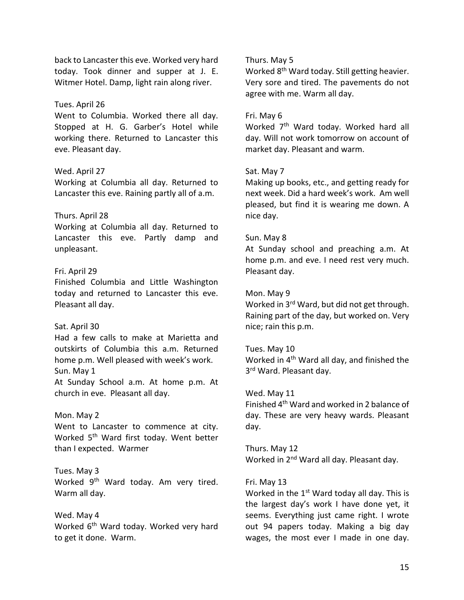back to Lancaster this eve. Worked very hard today. Took dinner and supper at J. E. Witmer Hotel. Damp, light rain along river.

#### Tues. April 26

Went to Columbia. Worked there all day. Stopped at H. G. Garber's Hotel while working there. Returned to Lancaster this eve. Pleasant day.

### Wed. April 27

Working at Columbia all day. Returned to Lancaster this eve. Raining partly all of a.m.

#### Thurs. April 28

Working at Columbia all day. Returned to Lancaster this eve. Partly damp and unpleasant.

### Fri. April 29

Finished Columbia and Little Washington today and returned to Lancaster this eve. Pleasant all day.

#### Sat. April 30

Had a few calls to make at Marietta and outskirts of Columbia this a.m. Returned home p.m. Well pleased with week's work. Sun. May 1

At Sunday School a.m. At home p.m. At church in eve. Pleasant all day.

#### Mon. May 2

Went to Lancaster to commence at city. Worked 5<sup>th</sup> Ward first today. Went better than I expected. Warmer

Tues. May 3 Worked 9<sup>th</sup> Ward today. Am very tired. Warm all day.

Wed. May 4 Worked 6<sup>th</sup> Ward today. Worked very hard to get it done. Warm.

### Thurs. May 5

Worked 8th Ward today. Still getting heavier. Very sore and tired. The pavements do not agree with me. Warm all day.

#### Fri. May 6

Worked 7<sup>th</sup> Ward today. Worked hard all day. Will not work tomorrow on account of market day. Pleasant and warm.

#### Sat. May 7

Making up books, etc., and getting ready for next week. Did a hard week's work. Am well pleased, but find it is wearing me down. A nice day.

#### Sun. May 8

At Sunday school and preaching a.m. At home p.m. and eve. I need rest very much. Pleasant day.

#### Mon. May 9

Worked in 3<sup>rd</sup> Ward, but did not get through. Raining part of the day, but worked on. Very nice; rain this p.m.

#### Tues. May 10

Worked in 4th Ward all day, and finished the 3<sup>rd</sup> Ward. Pleasant day.

#### Wed. May 11

Finished 4th Ward and worked in 2 balance of day. These are very heavy wards. Pleasant day.

Thurs. May 12 Worked in 2<sup>nd</sup> Ward all day. Pleasant day.

#### Fri. May 13

Worked in the  $1<sup>st</sup>$  Ward today all day. This is the largest day's work I have done yet, it seems. Everything just came right. I wrote out 94 papers today. Making a big day wages, the most ever I made in one day.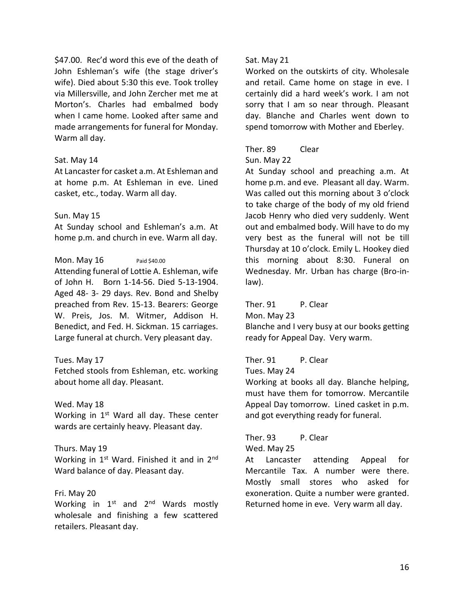\$47.00. Rec'd word this eve of the death of John Eshleman's wife (the stage driver's wife). Died about 5:30 this eve. Took trolley via Millersville, and John Zercher met me at Morton's. Charles had embalmed body when I came home. Looked after same and made arrangements for funeral for Monday. Warm all day.

#### Sat. May 14

At Lancaster for casket a.m. At Eshleman and at home p.m. At Eshleman in eve. Lined casket, etc., today. Warm all day.

#### Sun. May 15

At Sunday school and Eshleman's a.m. At home p.m. and church in eve. Warm all day.

### Mon. May  $16$  Paid \$40.00

Attending funeral of Lottie A. Eshleman, wife of John H. Born 1-14-56. Died 5-13-1904. Aged 48- 3- 29 days. Rev. Bond and Shelby preached from Rev. 15-13. Bearers: George W. Preis, Jos. M. Witmer, Addison H. Benedict, and Fed. H. Sickman. 15 carriages. Large funeral at church. Very pleasant day.

#### Tues. May 17

Fetched stools from Eshleman, etc. working about home all day. Pleasant.

#### Wed. May 18

Working in  $1<sup>st</sup>$  Ward all day. These center wards are certainly heavy. Pleasant day.

#### Thurs. May 19

Working in  $1<sup>st</sup>$  Ward. Finished it and in  $2<sup>nd</sup>$ Ward balance of day. Pleasant day.

#### Fri. May 20

Working in  $1^{st}$  and  $2^{nd}$  Wards mostly wholesale and finishing a few scattered retailers. Pleasant day.

#### Sat. May 21

Worked on the outskirts of city. Wholesale and retail. Came home on stage in eve. I certainly did a hard week's work. I am not sorry that I am so near through. Pleasant day. Blanche and Charles went down to spend tomorrow with Mother and Eberley.

# Ther. 89 Clear

#### Sun. May 22

At Sunday school and preaching a.m. At home p.m. and eve. Pleasant all day. Warm. Was called out this morning about 3 o'clock to take charge of the body of my old friend Jacob Henry who died very suddenly. Went out and embalmed body. Will have to do my very best as the funeral will not be till Thursday at 10 o'clock. Emily L. Hookey died this morning about 8:30. Funeral on Wednesday. Mr. Urban has charge (Bro-inlaw).

Ther. 91 P. Clear Mon. May 23 Blanche and I very busy at our books getting ready for Appeal Day. Very warm.

# Ther. 91 P. Clear

Tues. May 24

Working at books all day. Blanche helping, must have them for tomorrow. Mercantile Appeal Day tomorrow. Lined casket in p.m. and got everything ready for funeral.

# Ther. 93 P. Clear

Wed. May 25

At Lancaster attending Appeal for Mercantile Tax. A number were there. Mostly small stores who asked for exoneration. Quite a number were granted. Returned home in eve. Very warm all day.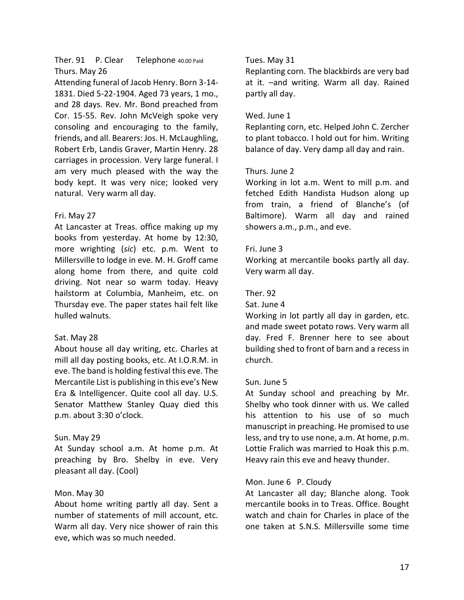# Ther. 91 P. Clear Telephone 40.00 Paid Thurs. May 26

Attending funeral of Jacob Henry. Born 3-14- 1831. Died 5-22-1904. Aged 73 years, 1 mo., and 28 days. Rev. Mr. Bond preached from Cor. 15-55. Rev. John McVeigh spoke very consoling and encouraging to the family, friends, and all. Bearers: Jos. H. McLaughling, Robert Erb, Landis Graver, Martin Henry. 28 carriages in procession. Very large funeral. I am very much pleased with the way the body kept. It was very nice; looked very natural. Very warm all day.

# Fri. May 27

At Lancaster at Treas. office making up my books from yesterday. At home by 12:30, more wrighting (*sic*) etc. p.m. Went to Millersville to lodge in eve. M. H. Groff came along home from there, and quite cold driving. Not near so warm today. Heavy hailstorm at Columbia, Manheim, etc. on Thursday eve. The paper states hail felt like hulled walnuts.

# Sat. May 28

About house all day writing, etc. Charles at mill all day posting books, etc. At I.O.R.M. in eve. The band is holding festival this eve. The Mercantile List is publishing in this eve's New Era & Intelligencer. Quite cool all day. U.S. Senator Matthew Stanley Quay died this p.m. about 3:30 o'clock.

# Sun. May 29

At Sunday school a.m. At home p.m. At preaching by Bro. Shelby in eve. Very pleasant all day. (Cool)

# Mon. May 30

About home writing partly all day. Sent a number of statements of mill account, etc. Warm all day. Very nice shower of rain this eve, which was so much needed.

# Tues. May 31

Replanting corn. The blackbirds are very bad at it. –and writing. Warm all day. Rained partly all day.

### Wed. June 1

Replanting corn, etc. Helped John C. Zercher to plant tobacco. I hold out for him. Writing balance of day. Very damp all day and rain.

### Thurs. June 2

Working in lot a.m. Went to mill p.m. and fetched Edith Handista Hudson along up from train, a friend of Blanche's (of Baltimore). Warm all day and rained showers a.m., p.m., and eve.

### Fri. June 3

Working at mercantile books partly all day. Very warm all day.

# Ther. 92

Sat. June 4

Working in lot partly all day in garden, etc. and made sweet potato rows. Very warm all day. Fred F. Brenner here to see about building shed to front of barn and a recess in church.

#### Sun. June 5

At Sunday school and preaching by Mr. Shelby who took dinner with us. We called his attention to his use of so much manuscript in preaching. He promised to use less, and try to use none, a.m. At home, p.m. Lottie Fralich was married to Hoak this p.m. Heavy rain this eve and heavy thunder.

# Mon. June 6 P. Cloudy

At Lancaster all day; Blanche along. Took mercantile books in to Treas. Office. Bought watch and chain for Charles in place of the one taken at S.N.S. Millersville some time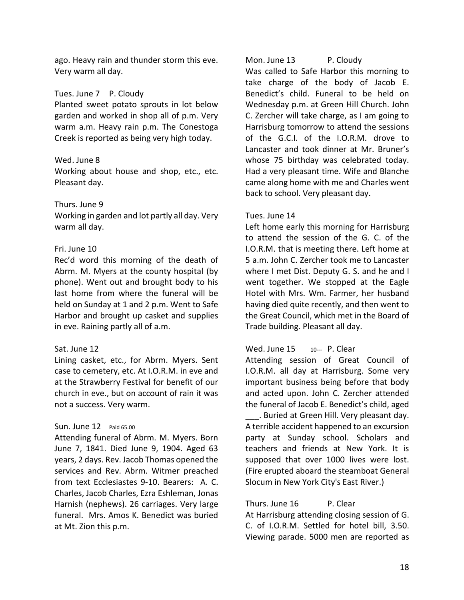ago. Heavy rain and thunder storm this eve. Very warm all day.

# Tues. June 7 P. Cloudy

Planted sweet potato sprouts in lot below garden and worked in shop all of p.m. Very warm a.m. Heavy rain p.m. The Conestoga Creek is reported as being very high today.

# Wed. June 8

Working about house and shop, etc., etc. Pleasant day.

# Thurs. June 9

Working in garden and lot partly all day. Very warm all day.

# Fri. June 10

Rec'd word this morning of the death of Abrm. M. Myers at the county hospital (by phone). Went out and brought body to his last home from where the funeral will be held on Sunday at 1 and 2 p.m. Went to Safe Harbor and brought up casket and supplies in eve. Raining partly all of a.m.

# Sat. June 12

Lining casket, etc., for Abrm. Myers. Sent case to cemetery, etc. At I.O.R.M. in eve and at the Strawberry Festival for benefit of our church in eve., but on account of rain it was not a success. Very warm.

# Sun. June 12 Paid 65.00

Attending funeral of Abrm. M. Myers. Born June 7, 1841. Died June 9, 1904. Aged 63 years, 2 days. Rev. Jacob Thomas opened the services and Rev. Abrm. Witmer preached from text Ecclesiastes 9-10. Bearers: A. C. Charles, Jacob Charles, Ezra Eshleman, Jonas Harnish (nephews). 26 carriages. Very large funeral. Mrs. Amos K. Benedict was buried at Mt. Zion this p.m.

# Mon. June 13 P. Cloudy

Was called to Safe Harbor this morning to take charge of the body of Jacob E. Benedict's child. Funeral to be held on Wednesday p.m. at Green Hill Church. John C. Zercher will take charge, as I am going to Harrisburg tomorrow to attend the sessions of the G.C.I. of the I.O.R.M. drove to Lancaster and took dinner at Mr. Bruner's whose 75 birthday was celebrated today. Had a very pleasant time. Wife and Blanche came along home with me and Charles went back to school. Very pleasant day.

# Tues. June 14

Left home early this morning for Harrisburg to attend the session of the G. C. of the I.O.R.M. that is meeting there. Left home at 5 a.m. John C. Zercher took me to Lancaster where I met Dist. Deputy G. S. and he and I went together. We stopped at the Eagle Hotel with Mrs. Wm. Farmer, her husband having died quite recently, and then went to the Great Council, which met in the Board of Trade building. Pleasant all day.

# Wed. June  $15$   $10-$ - $\blacksquare$  P. Clear

Attending session of Great Council of I.O.R.M. all day at Harrisburg. Some very important business being before that body and acted upon. John C. Zercher attended the funeral of Jacob E. Benedict's child, aged

\_\_\_. Buried at Green Hill. Very pleasant day. A terrible accident happened to an excursion party at Sunday school. Scholars and teachers and friends at New York. It is supposed that over 1000 lives were lost. (Fire erupted aboard the steamboat General Slocum in New York City's East River.)

# Thurs. June 16 P. Clear

At Harrisburg attending closing session of G. C. of I.O.R.M. Settled for hotel bill, 3.50. Viewing parade. 5000 men are reported as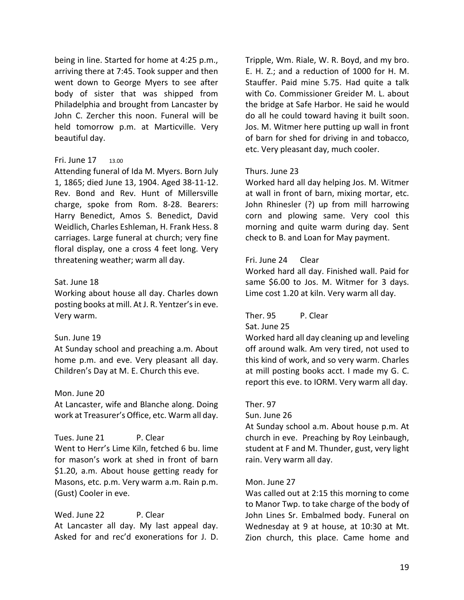being in line. Started for home at 4:25 p.m., arriving there at 7:45. Took supper and then went down to George Myers to see after body of sister that was shipped from Philadelphia and brought from Lancaster by John C. Zercher this noon. Funeral will be held tomorrow p.m. at Marticville. Very beautiful day.

#### Fri. June 17 13.00

Attending funeral of Ida M. Myers. Born July 1, 1865; died June 13, 1904. Aged 38-11-12. Rev. Bond and Rev. Hunt of Millersville charge, spoke from Rom. 8-28. Bearers: Harry Benedict, Amos S. Benedict, David Weidlich, Charles Eshleman, H. Frank Hess. 8 carriages. Large funeral at church; very fine floral display, one a cross 4 feet long. Very threatening weather; warm all day.

### Sat. June 18

Working about house all day. Charles down posting books at mill. At J. R. Yentzer's in eve. Very warm.

# Sun. June 19

At Sunday school and preaching a.m. About home p.m. and eve. Very pleasant all day. Children's Day at M. E. Church this eve.

#### Mon. June 20

At Lancaster, wife and Blanche along. Doing work at Treasurer's Office, etc. Warm all day.

Tues. June 21 P. Clear Went to Herr's Lime Kiln, fetched 6 bu. lime for mason's work at shed in front of barn \$1.20, a.m. About house getting ready for Masons, etc. p.m. Very warm a.m. Rain p.m. (Gust) Cooler in eve.

Wed. June 22 P. Clear At Lancaster all day. My last appeal day. Asked for and rec'd exonerations for J. D. Tripple, Wm. Riale, W. R. Boyd, and my bro. E. H. Z.; and a reduction of 1000 for H. M. Stauffer. Paid mine 5.75. Had quite a talk with Co. Commissioner Greider M. L. about the bridge at Safe Harbor. He said he would do all he could toward having it built soon. Jos. M. Witmer here putting up wall in front of barn for shed for driving in and tobacco, etc. Very pleasant day, much cooler.

### Thurs. June 23

Worked hard all day helping Jos. M. Witmer at wall in front of barn, mixing mortar, etc. John Rhinesler (?) up from mill harrowing corn and plowing same. Very cool this morning and quite warm during day. Sent check to B. and Loan for May payment.

# Fri. June 24 Clear

Worked hard all day. Finished wall. Paid for same \$6.00 to Jos. M. Witmer for 3 days. Lime cost 1.20 at kiln. Very warm all day.

# Ther. 95 P. Clear

#### Sat. June 25

Worked hard all day cleaning up and leveling off around walk. Am very tired, not used to this kind of work, and so very warm. Charles at mill posting books acct. I made my G. C. report this eve. to IORM. Very warm all day.

#### Ther. 97

Sun. June 26

At Sunday school a.m. About house p.m. At church in eve. Preaching by Roy Leinbaugh, student at F and M. Thunder, gust, very light rain. Very warm all day.

# Mon. June 27

Was called out at 2:15 this morning to come to Manor Twp. to take charge of the body of John Lines Sr. Embalmed body. Funeral on Wednesday at 9 at house, at 10:30 at Mt. Zion church, this place. Came home and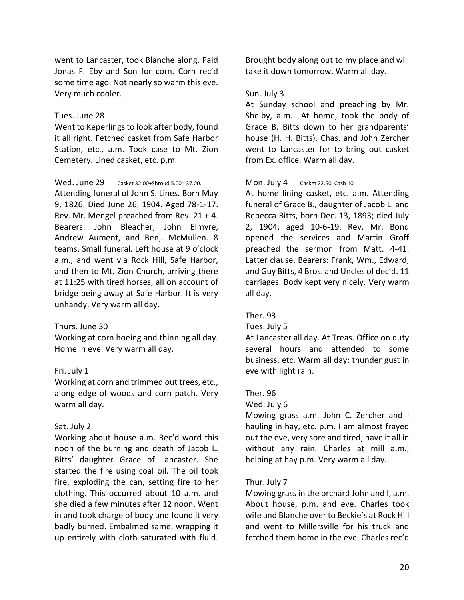went to Lancaster, took Blanche along. Paid Jonas F. Eby and Son for corn. Corn rec'd some time ago. Not nearly so warm this eve. Very much cooler.

#### Tues. June 28

Went to Keperlings to look after body, found it all right. Fetched casket from Safe Harbor Station, etc., a.m. Took case to Mt. Zion Cemetery. Lined casket, etc. p.m.

#### Wed. June 29 Casket 32.00+Shroud 5.00= 37.00.

Attending funeral of John S. Lines. Born May 9, 1826. Died June 26, 1904. Aged 78-1-17. Rev. Mr. Mengel preached from Rev. 21 + 4. Bearers: John Bleacher, John Elmyre, Andrew Aument, and Benj. McMullen. 8 teams. Small funeral. Left house at 9 o'clock a.m., and went via Rock Hill, Safe Harbor, and then to Mt. Zion Church, arriving there at 11:25 with tired horses, all on account of bridge being away at Safe Harbor. It is very unhandy. Very warm all day.

#### Thurs. June 30

Working at corn hoeing and thinning all day. Home in eve. Very warm all day.

#### Fri. July 1

Working at corn and trimmed out trees, etc., along edge of woods and corn patch. Very warm all day.

#### Sat. July 2

Working about house a.m. Rec'd word this noon of the burning and death of Jacob L. Bitts' daughter Grace of Lancaster. She started the fire using coal oil. The oil took fire, exploding the can, setting fire to her clothing. This occurred about 10 a.m. and she died a few minutes after 12 noon. Went in and took charge of body and found it very badly burned. Embalmed same, wrapping it up entirely with cloth saturated with fluid.

Brought body along out to my place and will take it down tomorrow. Warm all day.

#### Sun. July 3

At Sunday school and preaching by Mr. Shelby, a.m. At home, took the body of Grace B. Bitts down to her grandparents' house (H. H. Bitts). Chas. and John Zercher went to Lancaster for to bring out casket from Ex. office. Warm all day.

#### Mon. July 4 Casket 22.50 Cash 10

At home lining casket, etc. a.m. Attending funeral of Grace B., daughter of Jacob L. and Rebecca Bitts, born Dec. 13, 1893; died July 2, 1904; aged 10-6-19. Rev. Mr. Bond opened the services and Martin Groff preached the sermon from Matt. 4-41. Latter clause. Bearers: Frank, Wm., Edward, and Guy Bitts, 4 Bros. and Uncles of dec'd. 11 carriages. Body kept very nicely. Very warm all day.

#### Ther. 93

#### Tues. July 5

At Lancaster all day. At Treas. Office on duty several hours and attended to some business, etc. Warm all day; thunder gust in eve with light rain.

#### Ther. 96

#### Wed. July 6

Mowing grass a.m. John C. Zercher and I hauling in hay, etc. p.m. I am almost frayed out the eve, very sore and tired; have it all in without any rain. Charles at mill a.m., helping at hay p.m. Very warm all day.

#### Thur. July 7

Mowing grass in the orchard John and I, a.m. About house, p.m. and eve. Charles took wife and Blanche over to Beckie's at Rock Hill and went to Millersville for his truck and fetched them home in the eve. Charles rec'd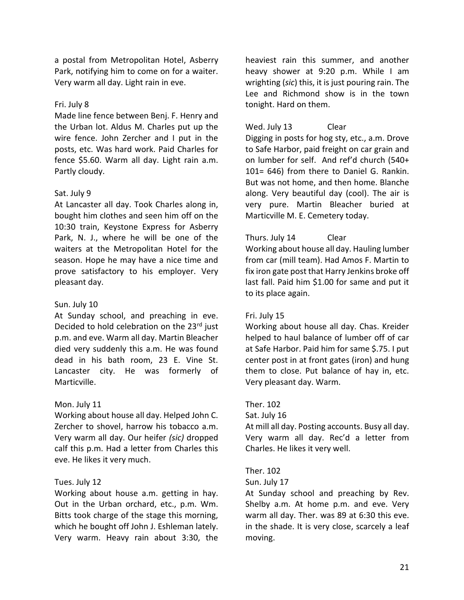a postal from Metropolitan Hotel, Asberry Park, notifying him to come on for a waiter. Very warm all day. Light rain in eve.

# Fri. July 8

Made line fence between Benj. F. Henry and the Urban lot. Aldus M. Charles put up the wire fence. John Zercher and I put in the posts, etc. Was hard work. Paid Charles for fence \$5.60. Warm all day. Light rain a.m. Partly cloudy.

# Sat. July 9

At Lancaster all day. Took Charles along in, bought him clothes and seen him off on the 10:30 train, Keystone Express for Asberry Park, N. J., where he will be one of the waiters at the Metropolitan Hotel for the season. Hope he may have a nice time and prove satisfactory to his employer. Very pleasant day.

# Sun. July 10

At Sunday school, and preaching in eve. Decided to hold celebration on the 23rd just p.m. and eve. Warm all day. Martin Bleacher died very suddenly this a.m. He was found dead in his bath room, 23 E. Vine St. Lancaster city. He was formerly of Marticville.

# Mon. July 11

Working about house all day. Helped John C. Zercher to shovel, harrow his tobacco a.m. Very warm all day. Our heifer *(sic)* dropped calf this p.m. Had a letter from Charles this eve. He likes it very much.

# Tues. July 12

Working about house a.m. getting in hay. Out in the Urban orchard, etc., p.m. Wm. Bitts took charge of the stage this morning, which he bought off John J. Eshleman lately. Very warm. Heavy rain about 3:30, the heaviest rain this summer, and another heavy shower at 9:20 p.m. While I am wrighting (*sic*) this, it is just pouring rain. The Lee and Richmond show is in the town tonight. Hard on them.

# Wed. July 13 Clear

Digging in posts for hog sty, etc., a.m. Drove to Safe Harbor, paid freight on car grain and on lumber for self. And ref'd church (540+ 101= 646) from there to Daniel G. Rankin. But was not home, and then home. Blanche along. Very beautiful day (cool). The air is very pure. Martin Bleacher buried at Marticville M. E. Cemetery today.

# Thurs. July 14 Clear

Working about house all day. Hauling lumber from car (mill team). Had Amos F. Martin to fix iron gate post that Harry Jenkins broke off last fall. Paid him \$1.00 for same and put it to its place again.

# Fri. July 15

Working about house all day. Chas. Kreider helped to haul balance of lumber off of car at Safe Harbor. Paid him for same \$.75. I put center post in at front gates (iron) and hung them to close. Put balance of hay in, etc. Very pleasant day. Warm.

# Ther. 102

Sat. July 16

At mill all day. Posting accounts. Busy all day. Very warm all day. Rec'd a letter from Charles. He likes it very well.

# Ther. 102

#### Sun. July 17

At Sunday school and preaching by Rev. Shelby a.m. At home p.m. and eve. Very warm all day. Ther. was 89 at 6:30 this eve. in the shade. It is very close, scarcely a leaf moving.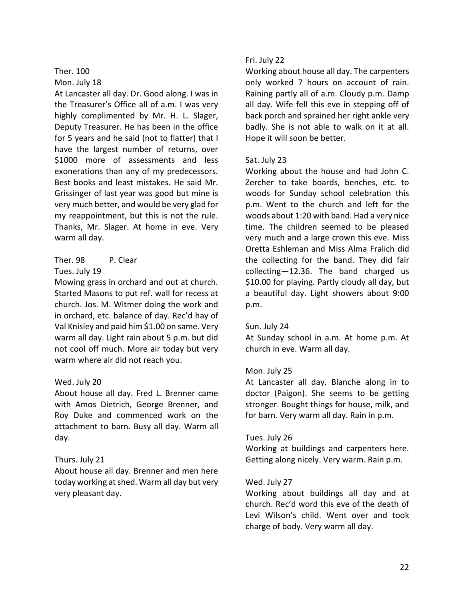### Ther. 100 Mon. July 18

At Lancaster all day. Dr. Good along. I was in the Treasurer's Office all of a.m. I was very highly complimented by Mr. H. L. Slager, Deputy Treasurer. He has been in the office for 5 years and he said (not to flatter) that I have the largest number of returns, over \$1000 more of assessments and less exonerations than any of my predecessors. Best books and least mistakes. He said Mr. Grissinger of last year was good but mine is very much better, and would be very glad for my reappointment, but this is not the rule. Thanks, Mr. Slager. At home in eve. Very warm all day.

# Ther. 98 P. Clear Tues. July 19

Mowing grass in orchard and out at church. Started Masons to put ref. wall for recess at church. Jos. M. Witmer doing the work and in orchard, etc. balance of day. Rec'd hay of Val Knisley and paid him \$1.00 on same. Very warm all day. Light rain about 5 p.m. but did not cool off much. More air today but very warm where air did not reach you.

# Wed. July 20

About house all day. Fred L. Brenner came with Amos Dietrich, George Brenner, and Roy Duke and commenced work on the attachment to barn. Busy all day. Warm all day.

# Thurs. July 21

About house all day. Brenner and men here today working at shed. Warm all day but very very pleasant day.

# Fri. July 22

Working about house all day. The carpenters only worked 7 hours on account of rain. Raining partly all of a.m. Cloudy p.m. Damp all day. Wife fell this eve in stepping off of back porch and sprained her right ankle very badly. She is not able to walk on it at all. Hope it will soon be better.

# Sat. July 23

Working about the house and had John C. Zercher to take boards, benches, etc. to woods for Sunday school celebration this p.m. Went to the church and left for the woods about 1:20 with band. Had a very nice time. The children seemed to be pleased very much and a large crown this eve. Miss Oretta Eshleman and Miss Alma Fralich did the collecting for the band. They did fair collecting—12.36. The band charged us \$10.00 for playing. Partly cloudy all day, but a beautiful day. Light showers about 9:00 p.m.

# Sun. July 24

At Sunday school in a.m. At home p.m. At church in eve. Warm all day.

# Mon. July 25

At Lancaster all day. Blanche along in to doctor (Paigon). She seems to be getting stronger. Bought things for house, milk, and for barn. Very warm all day. Rain in p.m.

# Tues. July 26

Working at buildings and carpenters here. Getting along nicely. Very warm. Rain p.m.

# Wed. July 27

Working about buildings all day and at church. Rec'd word this eve of the death of Levi Wilson's child. Went over and took charge of body. Very warm all day.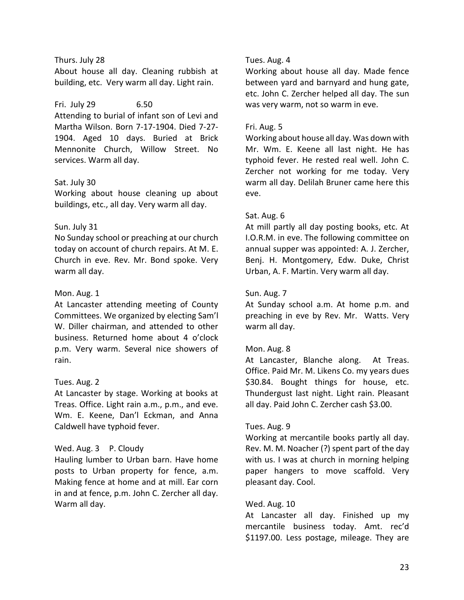# Thurs. July 28

About house all day. Cleaning rubbish at building, etc. Very warm all day. Light rain.

# Fri. July 29 6.50

Attending to burial of infant son of Levi and Martha Wilson. Born 7-17-1904. Died 7-27- 1904. Aged 10 days. Buried at Brick Mennonite Church, Willow Street. No services. Warm all day.

# Sat. July 30

Working about house cleaning up about buildings, etc., all day. Very warm all day.

# Sun. July 31

No Sunday school or preaching at our church today on account of church repairs. At M. E. Church in eve. Rev. Mr. Bond spoke. Very warm all day.

# Mon. Aug. 1

At Lancaster attending meeting of County Committees. We organized by electing Sam'l W. Diller chairman, and attended to other business. Returned home about 4 o'clock p.m. Very warm. Several nice showers of rain.

# Tues. Aug. 2

At Lancaster by stage. Working at books at Treas. Office. Light rain a.m., p.m., and eve. Wm. E. Keene, Dan'l Eckman, and Anna Caldwell have typhoid fever.

# Wed. Aug. 3 P. Cloudy

Hauling lumber to Urban barn. Have home posts to Urban property for fence, a.m. Making fence at home and at mill. Ear corn in and at fence, p.m. John C. Zercher all day. Warm all day.

# Tues. Aug. 4

Working about house all day. Made fence between yard and barnyard and hung gate, etc. John C. Zercher helped all day. The sun was very warm, not so warm in eve.

# Fri. Aug. 5

Working about house all day. Was down with Mr. Wm. E. Keene all last night. He has typhoid fever. He rested real well. John C. Zercher not working for me today. Very warm all day. Delilah Bruner came here this eve.

# Sat. Aug. 6

At mill partly all day posting books, etc. At I.O.R.M. in eve. The following committee on annual supper was appointed: A. J. Zercher, Benj. H. Montgomery, Edw. Duke, Christ Urban, A. F. Martin. Very warm all day.

# Sun. Aug. 7

At Sunday school a.m. At home p.m. and preaching in eve by Rev. Mr. Watts. Very warm all day.

# Mon. Aug. 8

At Lancaster, Blanche along. At Treas. Office. Paid Mr. M. Likens Co. my years dues \$30.84. Bought things for house, etc. Thundergust last night. Light rain. Pleasant all day. Paid John C. Zercher cash \$3.00.

# Tues. Aug. 9

Working at mercantile books partly all day. Rev. M. M. Noacher (?) spent part of the day with us. I was at church in morning helping paper hangers to move scaffold. Very pleasant day. Cool.

# Wed. Aug. 10

At Lancaster all day. Finished up my mercantile business today. Amt. rec'd \$1197.00. Less postage, mileage. They are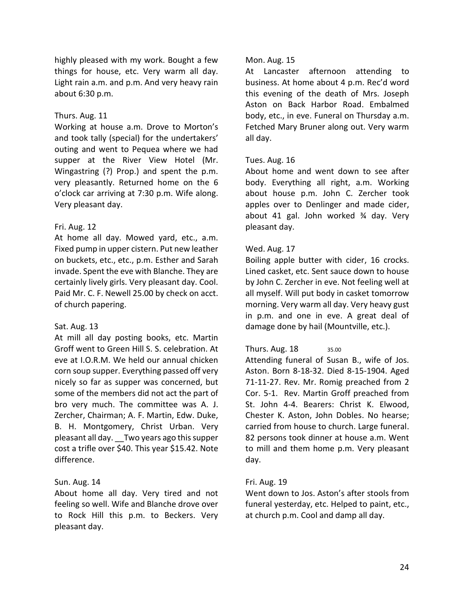highly pleased with my work. Bought a few things for house, etc. Very warm all day. Light rain a.m. and p.m. And very heavy rain about 6:30 p.m.

# Thurs. Aug. 11

Working at house a.m. Drove to Morton's and took tally (special) for the undertakers' outing and went to Pequea where we had supper at the River View Hotel (Mr. Wingastring (?) Prop.) and spent the p.m. very pleasantly. Returned home on the 6 o'clock car arriving at 7:30 p.m. Wife along. Very pleasant day.

# Fri. Aug. 12

At home all day. Mowed yard, etc., a.m. Fixed pump in upper cistern. Put new leather on buckets, etc., etc., p.m. Esther and Sarah invade. Spent the eve with Blanche. They are certainly lively girls. Very pleasant day. Cool. Paid Mr. C. F. Newell 25.00 by check on acct. of church papering.

# Sat. Aug. 13

At mill all day posting books, etc. Martin Groff went to Green Hill S. S. celebration. At eve at I.O.R.M. We held our annual chicken corn soup supper. Everything passed off very nicely so far as supper was concerned, but some of the members did not act the part of bro very much. The committee was A. J. Zercher, Chairman; A. F. Martin, Edw. Duke, B. H. Montgomery, Christ Urban. Very pleasant all day. \_\_Two years ago this supper cost a trifle over \$40. This year \$15.42. Note difference.

# Sun. Aug. 14

About home all day. Very tired and not feeling so well. Wife and Blanche drove over to Rock Hill this p.m. to Beckers. Very pleasant day.

# Mon. Aug. 15

At Lancaster afternoon attending to business. At home about 4 p.m. Rec'd word this evening of the death of Mrs. Joseph Aston on Back Harbor Road. Embalmed body, etc., in eve. Funeral on Thursday a.m. Fetched Mary Bruner along out. Very warm all day.

# Tues. Aug. 16

About home and went down to see after body. Everything all right, a.m. Working about house p.m. John C. Zercher took apples over to Denlinger and made cider, about 41 gal. John worked ¾ day. Very pleasant day.

# Wed. Aug. 17

Boiling apple butter with cider, 16 crocks. Lined casket, etc. Sent sauce down to house by John C. Zercher in eve. Not feeling well at all myself. Will put body in casket tomorrow morning. Very warm all day. Very heavy gust in p.m. and one in eve. A great deal of damage done by hail (Mountville, etc.).

# Thurs. Aug. 18 35.00

Attending funeral of Susan B., wife of Jos. Aston. Born 8-18-32. Died 8-15-1904. Aged 71-11-27. Rev. Mr. Romig preached from 2 Cor. 5-1. Rev. Martin Groff preached from St. John 4-4. Bearers: Christ K. Elwood, Chester K. Aston, John Dobles. No hearse; carried from house to church. Large funeral. 82 persons took dinner at house a.m. Went to mill and them home p.m. Very pleasant day.

# Fri. Aug. 19

Went down to Jos. Aston's after stools from funeral yesterday, etc. Helped to paint, etc., at church p.m. Cool and damp all day.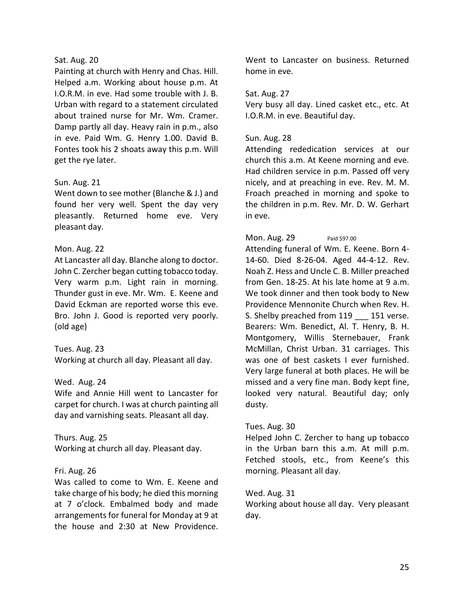### Sat. Aug. 20

Painting at church with Henry and Chas. Hill. Helped a.m. Working about house p.m. At I.O.R.M. in eve. Had some trouble with J. B. Urban with regard to a statement circulated about trained nurse for Mr. Wm. Cramer. Damp partly all day. Heavy rain in p.m., also in eve. Paid Wm. G. Henry 1.00. David B. Fontes took his 2 shoats away this p.m. Will get the rye later.

# Sun. Aug. 21

Went down to see mother (Blanche & J.) and found her very well. Spent the day very pleasantly. Returned home eve. Very pleasant day.

# Mon. Aug. 22

At Lancaster all day. Blanche along to doctor. John C. Zercher began cutting tobacco today. Very warm p.m. Light rain in morning. Thunder gust in eve. Mr. Wm. E. Keene and David Eckman are reported worse this eve. Bro. John J. Good is reported very poorly. (old age)

# Tues. Aug. 23

Working at church all day. Pleasant all day.

# Wed. Aug. 24

Wife and Annie Hill went to Lancaster for carpet for church. I was at church painting all day and varnishing seats. Pleasant all day.

# Thurs. Aug. 25

Working at church all day. Pleasant day.

# Fri. Aug. 26

Was called to come to Wm. E. Keene and take charge of his body; he died this morning at 7 o'clock. Embalmed body and made arrangements for funeral for Monday at 9 at the house and 2:30 at New Providence.

Went to Lancaster on business. Returned home in eve.

# Sat. Aug. 27

Very busy all day. Lined casket etc., etc. At I.O.R.M. in eve. Beautiful day.

# Sun. Aug. 28

Attending rededication services at our church this a.m. At Keene morning and eve. Had children service in p.m. Passed off very nicely, and at preaching in eve. Rev. M. M. Froach preached in morning and spoke to the children in p.m. Rev. Mr. D. W. Gerhart in eve.

# Mon. Aug. 29 Paid \$97.00

Attending funeral of Wm. E. Keene. Born 4- 14-60. Died 8-26-04. Aged 44-4-12. Rev. Noah Z. Hess and Uncle C. B. Miller preached from Gen. 18-25. At his late home at 9 a.m. We took dinner and then took body to New Providence Mennonite Church when Rev. H. S. Shelby preached from 119 151 verse. Bearers: Wm. Benedict, Al. T. Henry, B. H. Montgomery, Willis Sternebauer, Frank McMillan, Christ Urban. 31 carriages. This was one of best caskets I ever furnished. Very large funeral at both places. He will be missed and a very fine man. Body kept fine, looked very natural. Beautiful day; only dusty.

# Tues. Aug. 30

Helped John C. Zercher to hang up tobacco in the Urban barn this a.m. At mill p.m. Fetched stools, etc., from Keene's this morning. Pleasant all day.

# Wed. Aug. 31

Working about house all day. Very pleasant day.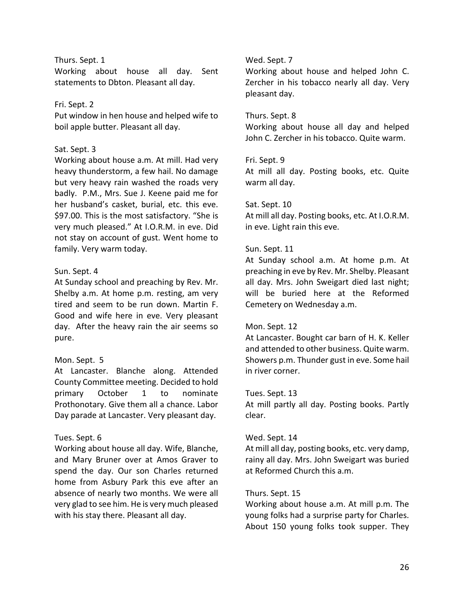### Thurs. Sept. 1

Working about house all day. Sent statements to Dbton. Pleasant all day.

# Fri. Sept. 2

Put window in hen house and helped wife to boil apple butter. Pleasant all day.

#### Sat. Sept. 3

Working about house a.m. At mill. Had very heavy thunderstorm, a few hail. No damage but very heavy rain washed the roads very badly. P.M., Mrs. Sue J. Keene paid me for her husband's casket, burial, etc. this eve. \$97.00. This is the most satisfactory. "She is very much pleased." At I.O.R.M. in eve. Did not stay on account of gust. Went home to family. Very warm today.

### Sun. Sept. 4

At Sunday school and preaching by Rev. Mr. Shelby a.m. At home p.m. resting, am very tired and seem to be run down. Martin F. Good and wife here in eve. Very pleasant day. After the heavy rain the air seems so pure.

# Mon. Sept. 5

At Lancaster. Blanche along. Attended County Committee meeting. Decided to hold primary October 1 to nominate Prothonotary. Give them all a chance. Labor Day parade at Lancaster. Very pleasant day.

# Tues. Sept. 6

Working about house all day. Wife, Blanche, and Mary Bruner over at Amos Graver to spend the day. Our son Charles returned home from Asbury Park this eve after an absence of nearly two months. We were all very glad to see him. He is very much pleased with his stay there. Pleasant all day.

### Wed. Sept. 7

Working about house and helped John C. Zercher in his tobacco nearly all day. Very pleasant day.

#### Thurs. Sept. 8

Working about house all day and helped John C. Zercher in his tobacco. Quite warm.

### Fri. Sept. 9

At mill all day. Posting books, etc. Quite warm all day.

#### Sat. Sept. 10

At mill all day. Posting books, etc. At I.O.R.M. in eve. Light rain this eve.

### Sun. Sept. 11

At Sunday school a.m. At home p.m. At preaching in eve by Rev. Mr. Shelby. Pleasant all day. Mrs. John Sweigart died last night; will be buried here at the Reformed Cemetery on Wednesday a.m.

#### Mon. Sept. 12

At Lancaster. Bought car barn of H. K. Keller and attended to other business. Quite warm. Showers p.m. Thunder gust in eve. Some hail in river corner.

#### Tues. Sept. 13

At mill partly all day. Posting books. Partly clear.

#### Wed. Sept. 14

At mill all day, posting books, etc. very damp, rainy all day. Mrs. John Sweigart was buried at Reformed Church this a.m.

# Thurs. Sept. 15

Working about house a.m. At mill p.m. The young folks had a surprise party for Charles. About 150 young folks took supper. They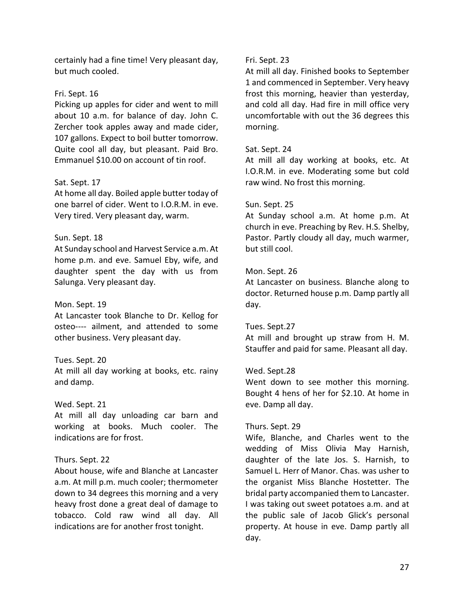certainly had a fine time! Very pleasant day, but much cooled.

### Fri. Sept. 16

Picking up apples for cider and went to mill about 10 a.m. for balance of day. John C. Zercher took apples away and made cider, 107 gallons. Expect to boil butter tomorrow. Quite cool all day, but pleasant. Paid Bro. Emmanuel \$10.00 on account of tin roof.

### Sat. Sept. 17

At home all day. Boiled apple butter today of one barrel of cider. Went to I.O.R.M. in eve. Very tired. Very pleasant day, warm.

### Sun. Sept. 18

At Sunday school and Harvest Service a.m. At home p.m. and eve. Samuel Eby, wife, and daughter spent the day with us from Salunga. Very pleasant day.

#### Mon. Sept. 19

At Lancaster took Blanche to Dr. Kellog for osteo---- ailment, and attended to some other business. Very pleasant day.

# Tues. Sept. 20

At mill all day working at books, etc. rainy and damp.

### Wed. Sept. 21

At mill all day unloading car barn and working at books. Much cooler. The indications are for frost.

# Thurs. Sept. 22

About house, wife and Blanche at Lancaster a.m. At mill p.m. much cooler; thermometer down to 34 degrees this morning and a very heavy frost done a great deal of damage to tobacco. Cold raw wind all day. All indications are for another frost tonight.

#### Fri. Sept. 23

At mill all day. Finished books to September 1 and commenced in September. Very heavy frost this morning, heavier than yesterday, and cold all day. Had fire in mill office very uncomfortable with out the 36 degrees this morning.

### Sat. Sept. 24

At mill all day working at books, etc. At I.O.R.M. in eve. Moderating some but cold raw wind. No frost this morning.

#### Sun. Sept. 25

At Sunday school a.m. At home p.m. At church in eve. Preaching by Rev. H.S. Shelby, Pastor. Partly cloudy all day, much warmer, but still cool.

#### Mon. Sept. 26

At Lancaster on business. Blanche along to doctor. Returned house p.m. Damp partly all day.

#### Tues. Sept.27

At mill and brought up straw from H. M. Stauffer and paid for same. Pleasant all day.

#### Wed. Sept.28

Went down to see mother this morning. Bought 4 hens of her for \$2.10. At home in eve. Damp all day.

#### Thurs. Sept. 29

Wife, Blanche, and Charles went to the wedding of Miss Olivia May Harnish, daughter of the late Jos. S. Harnish, to Samuel L. Herr of Manor. Chas. was usher to the organist Miss Blanche Hostetter. The bridal party accompanied them to Lancaster. I was taking out sweet potatoes a.m. and at the public sale of Jacob Glick's personal property. At house in eve. Damp partly all day.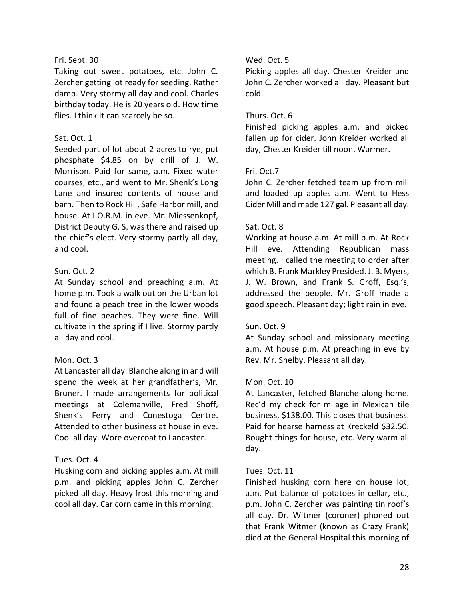# Fri. Sept. 30

Taking out sweet potatoes, etc. John C. Zercher getting lot ready for seeding. Rather damp. Very stormy all day and cool. Charles birthday today. He is 20 years old. How time flies. I think it can scarcely be so.

# Sat. Oct. 1

Seeded part of lot about 2 acres to rye, put phosphate \$4.85 on by drill of J. W. Morrison. Paid for same, a.m. Fixed water courses, etc., and went to Mr. Shenk's Long Lane and insured contents of house and barn. Then to Rock Hill, Safe Harbor mill, and house. At I.O.R.M. in eve. Mr. Miessenkopf, District Deputy G. S. was there and raised up the chief's elect. Very stormy partly all day, and cool.

# Sun. Oct. 2

At Sunday school and preaching a.m. At home p.m. Took a walk out on the Urban lot and found a peach tree in the lower woods full of fine peaches. They were fine. Will cultivate in the spring if I live. Stormy partly all day and cool.

# Mon. Oct. 3

At Lancaster all day. Blanche along in and will spend the week at her grandfather's, Mr. Bruner. I made arrangements for political meetings at Colemanville, Fred Shoff, Shenk's Ferry and Conestoga Centre. Attended to other business at house in eve. Cool all day. Wore overcoat to Lancaster.

# Tues. Oct. 4

Husking corn and picking apples a.m. At mill p.m. and picking apples John C. Zercher picked all day. Heavy frost this morning and cool all day. Car corn came in this morning.

# Wed. Oct. 5

Picking apples all day. Chester Kreider and John C. Zercher worked all day. Pleasant but cold.

# Thurs. Oct. 6

Finished picking apples a.m. and picked fallen up for cider. John Kreider worked all day, Chester Kreider till noon. Warmer.

# Fri. Oct.7

John C. Zercher fetched team up from mill and loaded up apples a.m. Went to Hess Cider Mill and made 127 gal. Pleasant all day.

# Sat. Oct. 8

Working at house a.m. At mill p.m. At Rock Hill eve. Attending Republican mass meeting. I called the meeting to order after which B. Frank Markley Presided. J. B. Myers, J. W. Brown, and Frank S. Groff, Esq.'s, addressed the people. Mr. Groff made a good speech. Pleasant day; light rain in eve.

# Sun. Oct. 9

At Sunday school and missionary meeting a.m. At house p.m. At preaching in eve by Rev. Mr. Shelby. Pleasant all day.

# Mon. Oct. 10

At Lancaster, fetched Blanche along home. Rec'd my check for milage in Mexican tile business, \$138.00. This closes that business. Paid for hearse harness at Kreckeld \$32.50. Bought things for house, etc. Very warm all day.

# Tues. Oct. 11

Finished husking corn here on house lot, a.m. Put balance of potatoes in cellar, etc., p.m. John C. Zercher was painting tin roof's all day. Dr. Witmer (coroner) phoned out that Frank Witmer (known as Crazy Frank) died at the General Hospital this morning of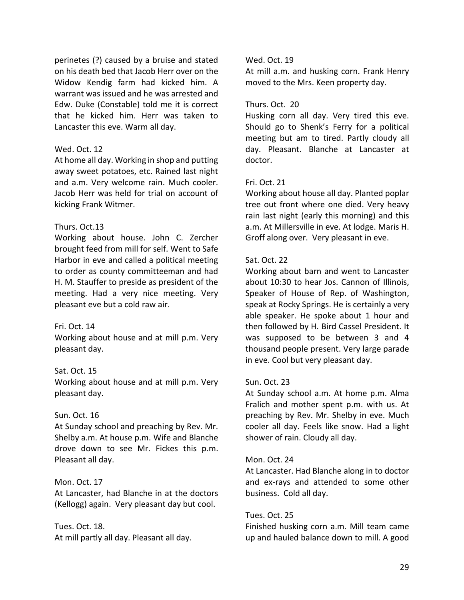perinetes (?) caused by a bruise and stated on his death bed that Jacob Herr over on the Widow Kendig farm had kicked him. A warrant was issued and he was arrested and Edw. Duke (Constable) told me it is correct that he kicked him. Herr was taken to Lancaster this eve. Warm all day.

### Wed. Oct. 12

At home all day. Working in shop and putting away sweet potatoes, etc. Rained last night and a.m. Very welcome rain. Much cooler. Jacob Herr was held for trial on account of kicking Frank Witmer.

# Thurs. Oct.13

Working about house. John C. Zercher brought feed from mill for self. Went to Safe Harbor in eve and called a political meeting to order as county committeeman and had H. M. Stauffer to preside as president of the meeting. Had a very nice meeting. Very pleasant eve but a cold raw air.

# Fri. Oct. 14

Working about house and at mill p.m. Very pleasant day.

# Sat. Oct. 15

Working about house and at mill p.m. Very pleasant day.

#### Sun. Oct. 16

At Sunday school and preaching by Rev. Mr. Shelby a.m. At house p.m. Wife and Blanche drove down to see Mr. Fickes this p.m. Pleasant all day.

#### Mon. Oct. 17

At Lancaster, had Blanche in at the doctors (Kellogg) again. Very pleasant day but cool.

Tues. Oct. 18. At mill partly all day. Pleasant all day.

### Wed. Oct. 19

At mill a.m. and husking corn. Frank Henry moved to the Mrs. Keen property day.

### Thurs. Oct. 20

Husking corn all day. Very tired this eve. Should go to Shenk's Ferry for a political meeting but am to tired. Partly cloudy all day. Pleasant. Blanche at Lancaster at doctor.

# Fri. Oct. 21

Working about house all day. Planted poplar tree out front where one died. Very heavy rain last night (early this morning) and this a.m. At Millersville in eve. At lodge. Maris H. Groff along over. Very pleasant in eve.

### Sat. Oct. 22

Working about barn and went to Lancaster about 10:30 to hear Jos. Cannon of Illinois, Speaker of House of Rep. of Washington, speak at Rocky Springs. He is certainly a very able speaker. He spoke about 1 hour and then followed by H. Bird Cassel President. It was supposed to be between 3 and 4 thousand people present. Very large parade in eve. Cool but very pleasant day.

#### Sun. Oct. 23

At Sunday school a.m. At home p.m. Alma Fralich and mother spent p.m. with us. At preaching by Rev. Mr. Shelby in eve. Much cooler all day. Feels like snow. Had a light shower of rain. Cloudy all day.

#### Mon. Oct. 24

At Lancaster. Had Blanche along in to doctor and ex-rays and attended to some other business. Cold all day.

#### Tues. Oct. 25

Finished husking corn a.m. Mill team came up and hauled balance down to mill. A good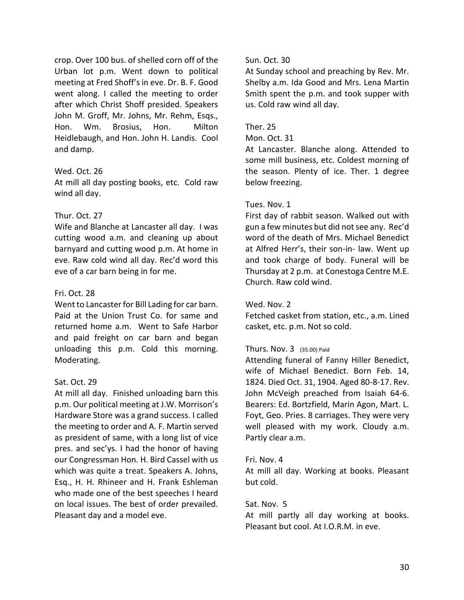crop. Over 100 bus. of shelled corn off of the Urban lot p.m. Went down to political meeting at Fred Shoff's in eve. Dr. B. F. Good went along. I called the meeting to order after which Christ Shoff presided. Speakers John M. Groff, Mr. Johns, Mr. Rehm, Esqs., Hon. Wm. Brosius, Hon. Milton Heidlebaugh, and Hon. John H. Landis. Cool and damp.

# Wed. Oct. 26

At mill all day posting books, etc. Cold raw wind all day.

# Thur. Oct. 27

Wife and Blanche at Lancaster all day. I was cutting wood a.m. and cleaning up about barnyard and cutting wood p.m. At home in eve. Raw cold wind all day. Rec'd word this eve of a car barn being in for me.

# Fri. Oct. 28

Went to Lancaster for Bill Lading for car barn. Paid at the Union Trust Co. for same and returned home a.m. Went to Safe Harbor and paid freight on car barn and began unloading this p.m. Cold this morning. Moderating.

# Sat. Oct. 29

At mill all day. Finished unloading barn this p.m. Our political meeting at J.W. Morrison's Hardware Store was a grand success. I called the meeting to order and A. F. Martin served as president of same, with a long list of vice pres. and sec'ys. I had the honor of having our Congressman Hon. H. Bird Cassel with us which was quite a treat. Speakers A. Johns, Esq., H. H. Rhineer and H. Frank Eshleman who made one of the best speeches I heard on local issues. The best of order prevailed. Pleasant day and a model eve.

# Sun. Oct. 30

At Sunday school and preaching by Rev. Mr. Shelby a.m. Ida Good and Mrs. Lena Martin Smith spent the p.m. and took supper with us. Cold raw wind all day.

# Ther. 25

### Mon. Oct. 31

At Lancaster. Blanche along. Attended to some mill business, etc. Coldest morning of the season. Plenty of ice. Ther. 1 degree below freezing.

# Tues. Nov. 1

First day of rabbit season. Walked out with gun a few minutes but did not see any. Rec'd word of the death of Mrs. Michael Benedict at Alfred Herr's, their son-in- law. Went up and took charge of body. Funeral will be Thursday at 2 p.m. at Conestoga Centre M.E. Church. Raw cold wind.

# Wed. Nov. 2

Fetched casket from station, etc., a.m. Lined casket, etc. p.m. Not so cold.

# Thurs. Nov. 3 (35.00) Paid

Attending funeral of Fanny Hiller Benedict, wife of Michael Benedict. Born Feb. 14, 1824. Died Oct. 31, 1904. Aged 80-8-17. Rev. John McVeigh preached from Isaiah 64-6. Bearers: Ed. Bortzfield, Marin Agon, Mart. L. Foyt, Geo. Pries. 8 carriages. They were very well pleased with my work. Cloudy a.m. Partly clear a.m.

# Fri. Nov. 4

At mill all day. Working at books. Pleasant but cold.

# Sat. Nov. 5

At mill partly all day working at books. Pleasant but cool. At I.O.R.M. in eve.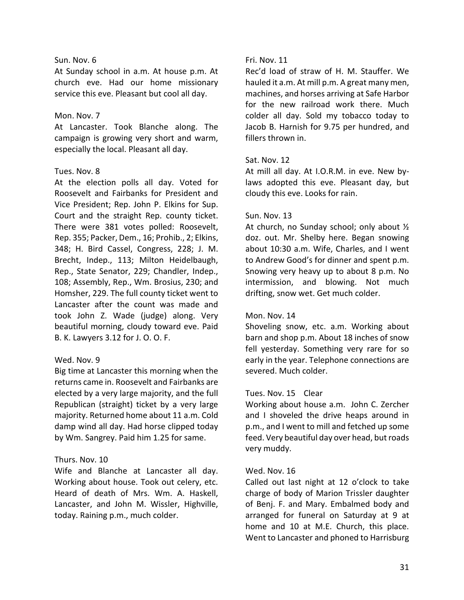### Sun. Nov. 6

At Sunday school in a.m. At house p.m. At church eve. Had our home missionary service this eve. Pleasant but cool all day.

### Mon. Nov. 7

At Lancaster. Took Blanche along. The campaign is growing very short and warm, especially the local. Pleasant all day.

### Tues. Nov. 8

At the election polls all day. Voted for Roosevelt and Fairbanks for President and Vice President; Rep. John P. Elkins for Sup. Court and the straight Rep. county ticket. There were 381 votes polled: Roosevelt, Rep. 355; Packer, Dem., 16; Prohib., 2; Elkins, 348; H. Bird Cassel, Congress, 228; J. M. Brecht, Indep., 113; Milton Heidelbaugh, Rep., State Senator, 229; Chandler, Indep., 108; Assembly, Rep., Wm. Brosius, 230; and Homsher, 229. The full county ticket went to Lancaster after the count was made and took John Z. Wade (judge) along. Very beautiful morning, cloudy toward eve. Paid B. K. Lawyers 3.12 for J. O. O. F.

# Wed. Nov. 9

Big time at Lancaster this morning when the returns came in. Roosevelt and Fairbanks are elected by a very large majority, and the full Republican (straight) ticket by a very large majority. Returned home about 11 a.m. Cold damp wind all day. Had horse clipped today by Wm. Sangrey. Paid him 1.25 for same.

# Thurs. Nov. 10

Wife and Blanche at Lancaster all day. Working about house. Took out celery, etc. Heard of death of Mrs. Wm. A. Haskell, Lancaster, and John M. Wissler, Highville, today. Raining p.m., much colder.

# Fri. Nov. 11

Rec'd load of straw of H. M. Stauffer. We hauled it a.m. At mill p.m. A great many men, machines, and horses arriving at Safe Harbor for the new railroad work there. Much colder all day. Sold my tobacco today to Jacob B. Harnish for 9.75 per hundred, and fillers thrown in.

# Sat. Nov. 12

At mill all day. At I.O.R.M. in eve. New bylaws adopted this eve. Pleasant day, but cloudy this eve. Looks for rain.

# Sun. Nov. 13

At church, no Sunday school; only about ½ doz. out. Mr. Shelby here. Began snowing about 10:30 a.m. Wife, Charles, and I went to Andrew Good's for dinner and spent p.m. Snowing very heavy up to about 8 p.m. No intermission, and blowing. Not much drifting, snow wet. Get much colder.

# Mon. Nov. 14

Shoveling snow, etc. a.m. Working about barn and shop p.m. About 18 inches of snow fell yesterday. Something very rare for so early in the year. Telephone connections are severed. Much colder.

# Tues. Nov. 15 Clear

Working about house a.m. John C. Zercher and I shoveled the drive heaps around in p.m., and I went to mill and fetched up some feed. Very beautiful day over head, but roads very muddy.

# Wed. Nov. 16

Called out last night at 12 o'clock to take charge of body of Marion Trissler daughter of Benj. F. and Mary. Embalmed body and arranged for funeral on Saturday at 9 at home and 10 at M.E. Church, this place. Went to Lancaster and phoned to Harrisburg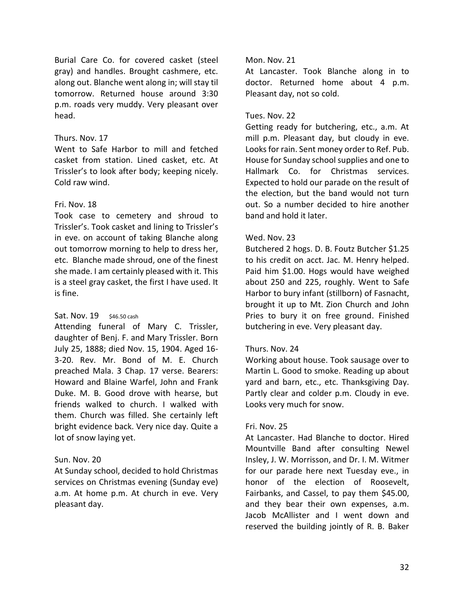Burial Care Co. for covered casket (steel gray) and handles. Brought cashmere, etc. along out. Blanche went along in; will stay til tomorrow. Returned house around 3:30 p.m. roads very muddy. Very pleasant over head.

# Thurs. Nov. 17

Went to Safe Harbor to mill and fetched casket from station. Lined casket, etc. At Trissler's to look after body; keeping nicely. Cold raw wind.

# Fri. Nov. 18

Took case to cemetery and shroud to Trissler's. Took casket and lining to Trissler's in eve. on account of taking Blanche along out tomorrow morning to help to dress her, etc. Blanche made shroud, one of the finest she made. I am certainly pleased with it. This is a steel gray casket, the first I have used. It is fine.

# Sat. Nov. 19 \$46.50 cash

Attending funeral of Mary C. Trissler, daughter of Benj. F. and Mary Trissler. Born July 25, 1888; died Nov. 15, 1904. Aged 16- 3-20. Rev. Mr. Bond of M. E. Church preached Mala. 3 Chap. 17 verse. Bearers: Howard and Blaine Warfel, John and Frank Duke. M. B. Good drove with hearse, but friends walked to church. I walked with them. Church was filled. She certainly left bright evidence back. Very nice day. Quite a lot of snow laying yet.

# Sun. Nov. 20

At Sunday school, decided to hold Christmas services on Christmas evening (Sunday eve) a.m. At home p.m. At church in eve. Very pleasant day.

# Mon. Nov. 21

At Lancaster. Took Blanche along in to doctor. Returned home about 4 p.m. Pleasant day, not so cold.

# Tues. Nov. 22

Getting ready for butchering, etc., a.m. At mill p.m. Pleasant day, but cloudy in eve. Looks for rain. Sent money order to Ref. Pub. House for Sunday school supplies and one to Hallmark Co. for Christmas services. Expected to hold our parade on the result of the election, but the band would not turn out. So a number decided to hire another band and hold it later.

# Wed. Nov. 23

Butchered 2 hogs. D. B. Foutz Butcher \$1.25 to his credit on acct. Jac. M. Henry helped. Paid him \$1.00. Hogs would have weighed about 250 and 225, roughly. Went to Safe Harbor to bury infant (stillborn) of Fasnacht, brought it up to Mt. Zion Church and John Pries to bury it on free ground. Finished butchering in eve. Very pleasant day.

# Thurs. Nov. 24

Working about house. Took sausage over to Martin L. Good to smoke. Reading up about yard and barn, etc., etc. Thanksgiving Day. Partly clear and colder p.m. Cloudy in eve. Looks very much for snow.

# Fri. Nov. 25

At Lancaster. Had Blanche to doctor. Hired Mountville Band after consulting Newel Insley, J. W. Morrisson, and Dr. I. M. Witmer for our parade here next Tuesday eve., in honor of the election of Roosevelt, Fairbanks, and Cassel, to pay them \$45.00, and they bear their own expenses, a.m. Jacob McAllister and I went down and reserved the building jointly of R. B. Baker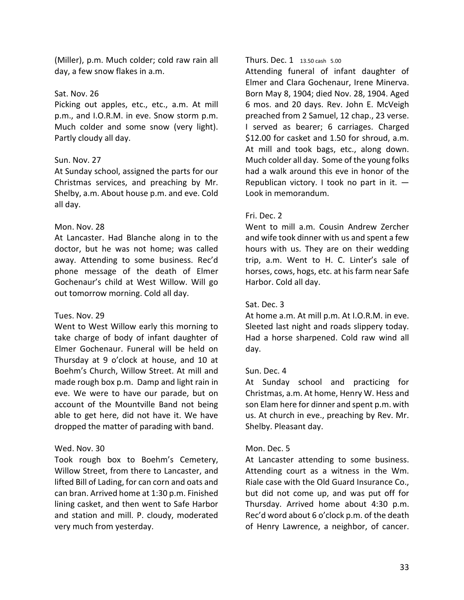(Miller), p.m. Much colder; cold raw rain all day, a few snow flakes in a.m.

### Sat. Nov. 26

Picking out apples, etc., etc., a.m. At mill p.m., and I.O.R.M. in eve. Snow storm p.m. Much colder and some snow (very light). Partly cloudy all day.

# Sun. Nov. 27

At Sunday school, assigned the parts for our Christmas services, and preaching by Mr. Shelby, a.m. About house p.m. and eve. Cold all day.

### Mon. Nov. 28

At Lancaster. Had Blanche along in to the doctor, but he was not home; was called away. Attending to some business. Rec'd phone message of the death of Elmer Gochenaur's child at West Willow. Will go out tomorrow morning. Cold all day.

#### Tues. Nov. 29

Went to West Willow early this morning to take charge of body of infant daughter of Elmer Gochenaur. Funeral will be held on Thursday at 9 o'clock at house, and 10 at Boehm's Church, Willow Street. At mill and made rough box p.m. Damp and light rain in eve. We were to have our parade, but on account of the Mountville Band not being able to get here, did not have it. We have dropped the matter of parading with band.

# Wed. Nov. 30

Took rough box to Boehm's Cemetery, Willow Street, from there to Lancaster, and lifted Bill of Lading, for can corn and oats and can bran. Arrived home at 1:30 p.m. Finished lining casket, and then went to Safe Harbor and station and mill. P. cloudy, moderated very much from yesterday.

#### Thurs. Dec. 1 13.50 cash 5.00

Attending funeral of infant daughter of Elmer and Clara Gochenaur, Irene Minerva. Born May 8, 1904; died Nov. 28, 1904. Aged 6 mos. and 20 days. Rev. John E. McVeigh preached from 2 Samuel, 12 chap., 23 verse. I served as bearer; 6 carriages. Charged \$12.00 for casket and 1.50 for shroud, a.m. At mill and took bags, etc., along down. Much colder all day. Some of the young folks had a walk around this eve in honor of the Republican victory. I took no part in it.  $-$ Look in memorandum.

### Fri. Dec. 2

Went to mill a.m. Cousin Andrew Zercher and wife took dinner with us and spent a few hours with us. They are on their wedding trip, a.m. Went to H. C. Linter's sale of horses, cows, hogs, etc. at his farm near Safe Harbor. Cold all day.

# Sat. Dec. 3

At home a.m. At mill p.m. At I.O.R.M. in eve. Sleeted last night and roads slippery today. Had a horse sharpened. Cold raw wind all day.

# Sun. Dec. 4

At Sunday school and practicing for Christmas, a.m. At home, Henry W. Hess and son Elam here for dinner and spent p.m. with us. At church in eve., preaching by Rev. Mr. Shelby. Pleasant day.

#### Mon. Dec. 5

At Lancaster attending to some business. Attending court as a witness in the Wm. Riale case with the Old Guard Insurance Co., but did not come up, and was put off for Thursday. Arrived home about 4:30 p.m. Rec'd word about 6 o'clock p.m. of the death of Henry Lawrence, a neighbor, of cancer.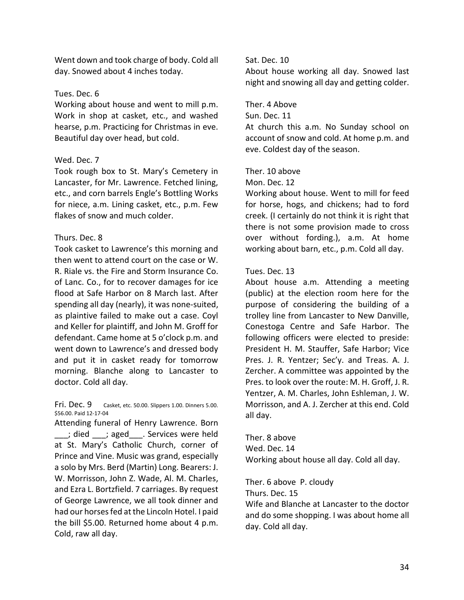Went down and took charge of body. Cold all day. Snowed about 4 inches today.

### Tues. Dec. 6

Working about house and went to mill p.m. Work in shop at casket, etc., and washed hearse, p.m. Practicing for Christmas in eve. Beautiful day over head, but cold.

### Wed. Dec. 7

Took rough box to St. Mary's Cemetery in Lancaster, for Mr. Lawrence. Fetched lining, etc., and corn barrels Engle's Bottling Works for niece, a.m. Lining casket, etc., p.m. Few flakes of snow and much colder.

# Thurs. Dec. 8

Took casket to Lawrence's this morning and then went to attend court on the case or W. R. Riale vs. the Fire and Storm Insurance Co. of Lanc. Co., for to recover damages for ice flood at Safe Harbor on 8 March last. After spending all day (nearly), it was none-suited, as plaintive failed to make out a case. Coyl and Keller for plaintiff, and John M. Groff for defendant. Came home at 5 o'clock p.m. and went down to Lawrence's and dressed body and put it in casket ready for tomorrow morning. Blanche along to Lancaster to doctor. Cold all day.

Fri. Dec. 9 Casket, etc. 50.00. Slippers 1.00. Dinners 5.00. \$56.00. Paid 12-17-04

Attending funeral of Henry Lawrence. Born \_\_\_; died \_\_\_; aged\_\_\_. Services were held at St. Mary's Catholic Church, corner of Prince and Vine. Music was grand, especially a solo by Mrs. Berd (Martin) Long. Bearers: J. W. Morrisson, John Z. Wade, Al. M. Charles, and Ezra L. Bortzfield. 7 carriages. By request of George Lawrence, we all took dinner and had our horses fed at the Lincoln Hotel. I paid the bill \$5.00. Returned home about 4 p.m. Cold, raw all day.

# Sat. Dec. 10

About house working all day. Snowed last night and snowing all day and getting colder.

# Ther. 4 Above

Sun. Dec. 11

At church this a.m. No Sunday school on account of snow and cold. At home p.m. and eve. Coldest day of the season.

### Ther. 10 above

Mon. Dec. 12

Working about house. Went to mill for feed for horse, hogs, and chickens; had to ford creek. (I certainly do not think it is right that there is not some provision made to cross over without fording.), a.m. At home working about barn, etc., p.m. Cold all day.

### Tues. Dec. 13

About house a.m. Attending a meeting (public) at the election room here for the purpose of considering the building of a trolley line from Lancaster to New Danville, Conestoga Centre and Safe Harbor. The following officers were elected to preside: President H. M. Stauffer, Safe Harbor; Vice Pres. J. R. Yentzer; Sec'y. and Treas. A. J. Zercher. A committee was appointed by the Pres. to look over the route: M. H. Groff, J. R. Yentzer, A. M. Charles, John Eshleman, J. W. Morrisson, and A. J. Zercher at this end. Cold all day.

Ther. 8 above Wed. Dec. 14 Working about house all day. Cold all day.

Ther. 6 above P. cloudy

Thurs. Dec. 15

Wife and Blanche at Lancaster to the doctor and do some shopping. I was about home all day. Cold all day.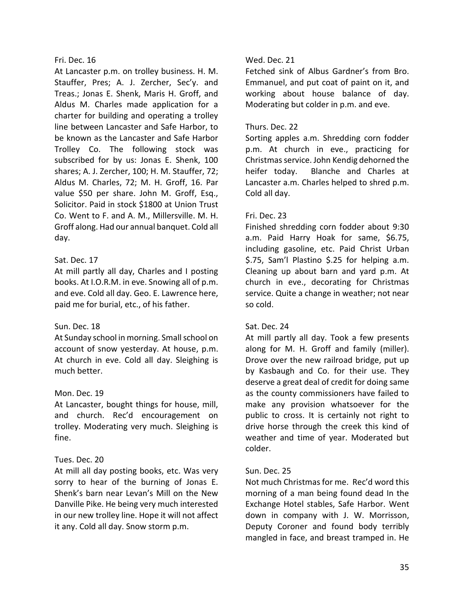# Fri. Dec. 16

At Lancaster p.m. on trolley business. H. M. Stauffer, Pres; A. J. Zercher, Sec'y. and Treas.; Jonas E. Shenk, Maris H. Groff, and Aldus M. Charles made application for a charter for building and operating a trolley line between Lancaster and Safe Harbor, to be known as the Lancaster and Safe Harbor Trolley Co. The following stock was subscribed for by us: Jonas E. Shenk, 100 shares; A. J. Zercher, 100; H. M. Stauffer, 72; Aldus M. Charles, 72; M. H. Groff, 16. Par value \$50 per share. John M. Groff, Esq., Solicitor. Paid in stock \$1800 at Union Trust Co. Went to F. and A. M., Millersville. M. H. Groff along. Had our annual banquet. Cold all day.

# Sat. Dec. 17

At mill partly all day, Charles and I posting books. At I.O.R.M. in eve. Snowing all of p.m. and eve. Cold all day. Geo. E. Lawrence here, paid me for burial, etc., of his father.

# Sun. Dec. 18

At Sunday school in morning. Small school on account of snow yesterday. At house, p.m. At church in eve. Cold all day. Sleighing is much better.

# Mon. Dec. 19

At Lancaster, bought things for house, mill, and church. Rec'd encouragement on trolley. Moderating very much. Sleighing is fine.

# Tues. Dec. 20

At mill all day posting books, etc. Was very sorry to hear of the burning of Jonas E. Shenk's barn near Levan's Mill on the New Danville Pike. He being very much interested in our new trolley line. Hope it will not affect it any. Cold all day. Snow storm p.m.

# Wed. Dec. 21

Fetched sink of Albus Gardner's from Bro. Emmanuel, and put coat of paint on it, and working about house balance of day. Moderating but colder in p.m. and eve.

# Thurs. Dec. 22

Sorting apples a.m. Shredding corn fodder p.m. At church in eve., practicing for Christmas service. John Kendig dehorned the heifer today. Blanche and Charles at Lancaster a.m. Charles helped to shred p.m. Cold all day.

# Fri. Dec. 23

Finished shredding corn fodder about 9:30 a.m. Paid Harry Hoak for same, \$6.75, including gasoline, etc. Paid Christ Urban \$.75, Sam'l Plastino \$.25 for helping a.m. Cleaning up about barn and yard p.m. At church in eve., decorating for Christmas service. Quite a change in weather; not near so cold.

# Sat. Dec. 24

At mill partly all day. Took a few presents along for M. H. Groff and family (miller). Drove over the new railroad bridge, put up by Kasbaugh and Co. for their use. They deserve a great deal of credit for doing same as the county commissioners have failed to make any provision whatsoever for the public to cross. It is certainly not right to drive horse through the creek this kind of weather and time of year. Moderated but colder.

# Sun. Dec. 25

Not much Christmas for me. Rec'd word this morning of a man being found dead In the Exchange Hotel stables, Safe Harbor. Went down in company with J. W. Morrisson, Deputy Coroner and found body terribly mangled in face, and breast tramped in. He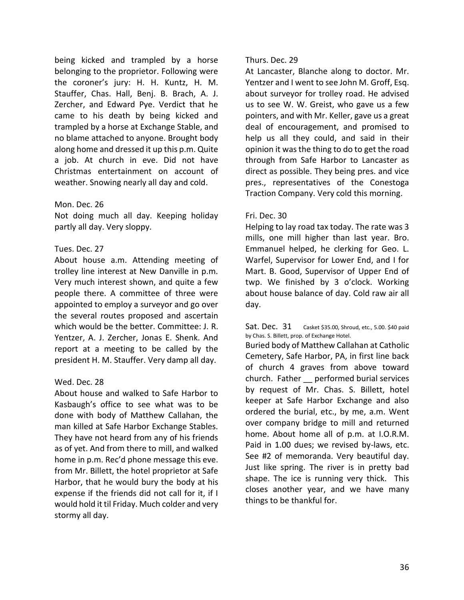being kicked and trampled by a horse belonging to the proprietor. Following were the coroner's jury: H. H. Kuntz, H. M. Stauffer, Chas. Hall, Benj. B. Brach, A. J. Zercher, and Edward Pye. Verdict that he came to his death by being kicked and trampled by a horse at Exchange Stable, and no blame attached to anyone. Brought body along home and dressed it up this p.m. Quite a job. At church in eve. Did not have Christmas entertainment on account of weather. Snowing nearly all day and cold.

### Mon. Dec. 26

Not doing much all day. Keeping holiday partly all day. Very sloppy.

### Tues. Dec. 27

About house a.m. Attending meeting of trolley line interest at New Danville in p.m. Very much interest shown, and quite a few people there. A committee of three were appointed to employ a surveyor and go over the several routes proposed and ascertain which would be the better. Committee: J. R. Yentzer, A. J. Zercher, Jonas E. Shenk. And report at a meeting to be called by the president H. M. Stauffer. Very damp all day.

# Wed. Dec. 28

About house and walked to Safe Harbor to Kasbaugh's office to see what was to be done with body of Matthew Callahan, the man killed at Safe Harbor Exchange Stables. They have not heard from any of his friends as of yet. And from there to mill, and walked home in p.m. Rec'd phone message this eve. from Mr. Billett, the hotel proprietor at Safe Harbor, that he would bury the body at his expense if the friends did not call for it, if I would hold it til Friday. Much colder and very stormy all day.

### Thurs. Dec. 29

At Lancaster, Blanche along to doctor. Mr. Yentzer and I went to see John M. Groff, Esq. about surveyor for trolley road. He advised us to see W. W. Greist, who gave us a few pointers, and with Mr. Keller, gave us a great deal of encouragement, and promised to help us all they could, and said in their opinion it was the thing to do to get the road through from Safe Harbor to Lancaster as direct as possible. They being pres. and vice pres., representatives of the Conestoga Traction Company. Very cold this morning.

### Fri. Dec. 30

Helping to lay road tax today. The rate was 3 mills, one mill higher than last year. Bro. Emmanuel helped, he clerking for Geo. L. Warfel, Supervisor for Lower End, and I for Mart. B. Good, Supervisor of Upper End of twp. We finished by 3 o'clock. Working about house balance of day. Cold raw air all day.

Sat. Dec. 31 Casket \$35.00, Shroud, etc., 5.00. \$40 paid by Chas. S. Billett, prop. of Exchange Hotel.

Buried body of Matthew Callahan at Catholic Cemetery, Safe Harbor, PA, in first line back of church 4 graves from above toward church. Father \_\_ performed burial services by request of Mr. Chas. S. Billett, hotel keeper at Safe Harbor Exchange and also ordered the burial, etc., by me, a.m. Went over company bridge to mill and returned home. About home all of p.m. at I.O.R.M. Paid in 1.00 dues; we revised by-laws, etc. See #2 of memoranda. Very beautiful day. Just like spring. The river is in pretty bad shape. The ice is running very thick. This closes another year, and we have many things to be thankful for.